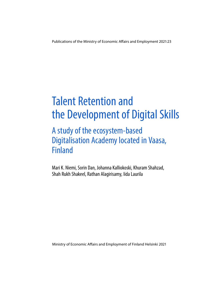Publications of the Ministry of Economic Afairs and Employment 2021:23

# Talent Retention and the Development of Digital Skills

# A study of the ecosystem-based Digitalisation Academy located in Vaasa, Finland

Mari K. Niemi, Sorin Dan, Johanna Kalliokoski, Khuram Shahzad, Shah Rukh Shakeel, Rathan Alagirisamy, Iida Laurila

Ministry of Economic Afairs and Employment of Finland Helsinki 2021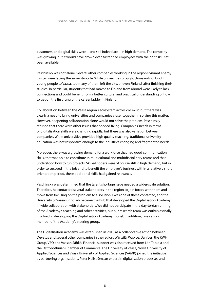customers, and digital skills were – and still indeed are – in high demand. The company was growing, but it would have grown even faster had employees with the right skill set been available.

Paschinsky was not alone. Several other companies working in the region's vibrant energy cluster were facing the same struggle. While universities brought thousands of bright young people to Vaasa, too many of them left the city, or even Finland, after finishing their studies. In particular, students that had moved to Finland from abroad were likely to lack connections and could benefit from a better cultural and practical understanding of how to get on the first rung of the career ladder in Finland.

Collaboration between the Vaasa region's ecosystem actors did exist, but there was clearly a need to bring universities and companies closer together in solving this matter. However, deepening collaboration alone would not solve the problem. Paschinsky realised that there were other issues that needed fixing. Companies' needs in terms of digitalisation skills were changing rapidly, but there was also variation between companies. While universities provided high quality teaching, traditional university education was not responsive enough to the industry's changing and fragmented needs.

Moreover, there was a growing demand for a workforce that had good communication skills, that was able to contribute in multicultural and multidisciplinary teams and that understood how to run projects. Skilled coders were of course still in high demand, but in order to succeed in the job and to benefit the employer's business within a relatively short orientation period, these additional skills had gained relevance.

Paschinsky was determined that the talent shortage issue needed a wider-scale solution. Therefore, he contacted several stakeholders in the region to join forces with them and move from focusing on the problem to a solution. I was one of those contacted, and the University of Vaasa's InnoLab became the hub that developed the Digitalisation Academy in wide collaboration with stakeholders. We did not participate in the day-to-day running of the Academy's teaching and other activities, but our research team was enthusiastically involved in developing the Digitalisation Academy model. In addition, I was also a member of the Academy's steering group.

The Digitalisation Academy was established in 2018 as a collaborative action between Devatus and several other companies in the region: Wärtsilä, Wapice, Danfoss, the KWH Group, VEO and Vaasan Sähkö. Financial support was also received from LähiTapiola and the Ostrobothnian Chamber of Commerce. The University of Vaasa, Novia University of Applied Sciences and Vaasa University of Applied Sciences (VAMK) joined the initiative as partnering organisations. Peter Hellström, an expert in digitalisation processes and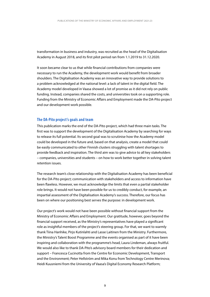transformation in business and industry, was recruited as the head of the Digitalisation Academy in August 2018, and its first pilot period ran from 1.1.2019 to 31.12.2020.

It soon became clear to us that while financial contributions from companies were necessary to run the Academy, the development work would benefit from broader shoulders. The Digitalisation Academy was an innovative way to provide solutions to a problem acknowledged at the national level: a lack of talent in the digital field. The Academy model developed in Vaasa showed a lot of promise as it did not rely on public funding. Instead, companies shared the costs, and universities took on a supporting role. Funding from the Ministry of Economic Affairs and Employment made the DA-Pito project and our development work possible.

#### **The DA-Pito project's goals and team**

This publication marks the end of the DA-Pito project, which had three main tasks. The first was to support the development of the Digitalisation Academy by searching for ways to release its full potential. Its second goal was to scrutinise how the Academy model could be developed in the future and, based on that analysis, create a model that could be easily communicated to other Finnish clusters struggling with talent shortages to provide feedback and inspiration. The third aim was to give advice to all key stakeholders – companies, universities and students – on how to work better together in solving talent retention issues.

The research team's close relationship with the Digitalisation Academy has been beneficial for the DA-Pito project; communication with stakeholders and access to information have been flawless. However, we must acknowledge the limits that even a partial stakeholder role brings. It would not have been possible for us to credibly conduct, for example, an impartial assessment of the Digitalisation Academy's success. Therefore, our focus has been on where our positioning best serves the purpose: in development work.

Our project's work would not have been possible without financial support from the Ministry of Economic Affairs and Employment. Our gratitude, however, goes beyond the financial support received, as the Ministry's representatives have played a significant role as insightful members of the project's steering group. For that, we want to warmly thank Tiina Hanhike, Pirjo Kutinlahti and Lasse Laitinen from the Ministry. Furthermore, the Ministry's Talent Boost Programme and the events organised as part of it have been inspiring and collaboration with the programme's head, Laura Lindeman, always fruitful. We would also like to thank DA-Pito's advisory board members for their dedication and support – Francesca Cucinotta from the Centre for Economic Development, Transport and the Environment; Peter Hellström and Mika Konu from Technology Centre Merinova; Heidi Kuusniemi from the University of Vaasa's Digital Economy Research Platform;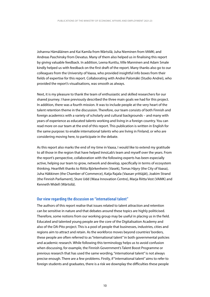Johanna Hämäläinen and Kai Kamila from Wärtsilä; Juha Nieminen from VAMK; and Andreas Paschinsky from Devatus. Many of them also helped us in finalising this report by giving valuable feedback. In addition, Leena Kunttu, Ville Manninen and Adam Smale kindly helped us with feedback on the first draft of the report. Many thanks also go to our colleagues from the University of Vaasa, who provided insightful info boxes from their fields of expertise for this report. Collaborating with Andrei Palomäki (Studio Andrei), who provided the report's visualisations, was smooth as always.

Next, it is my pleasure to thank the team of enthusiastic and skilled researchers for our shared journey. I have previously described the three main goals we had for this project. In addition, there was a fourth mission. It was to include people at the very heart of the talent retention theme in the discussion. Therefore, our team consists of both Finnish and foreign academics with a variety of scholarly and cultural backgrounds – and many with years of experience as educated talents working and living in a foreign country. You can read more on our team at the end of this report. This publication is written in English for the same purpose: to enable international talents who are living in Finland, or who are considering moving here, to participate in the debate.

As this report also marks the end of my time in Vaasa, I would like to extend my gratitude to all those in the region that have helped InnoLab's team and myself over the years. From the report's perspective, collaboration with the following experts has been especially active, helping our team to grow, network and develop, specifically in terms of ecosystem thinking. Heartfelt thanks to Riitta Björkenheim (Vasek), Tomas Häyry (the City of Vaasa), Juha Häkkinen (the Chamber of Commerce), Katja Rajala (Vaasan yrittäjät), Joakim Strand (the Finnish Parliament), Sture Udd (Wasa Innovation Centre), Marja Riitta Vest (VAMK) and Kenneth Widell (Wärtsilä).

#### **Our view regarding the discussion on "international talent"**

The authors of this report realise that issues related to talent attraction and retention can be sensitive in nature and that debates around these topics are highly politicised. Therefore, some notions from our working group may be useful in placing us in the field. Educated and talented young people are the core of the Digitalisation Academy and also of the DA-Pito project. This is a pool of people that businesses, industries, cities and regions aim to attract and retain. As the workforce moves beyond countries' borders, these people are often referred to as "international talent" in both governmental policies and academic research. While following this terminology helps us to avoid confusion when discussing, for example, the Finnish Government's Talent Boost Programme or previous research that has used the same wording, "international talent" is not always precise enough. There are a few problems. Firstly, if "international talent" aims to refer to foreign students and graduates, there is a risk we downplay the difficulties these people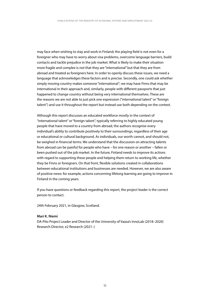may face when wishing to stay and work in Finland; the playing field is not even for a foreigner who may have to worry about visa problems, overcome language barriers, build contacts and tackle prejudice in the job market. What is likely to make their situation more fragile and complex is not that they are "international" but that they are from abroad and treated as foreigners here. In order to openly discuss these issues, we need a language that acknowledges these factors and is precise. Secondly, one could ask whether simply moving country makes someone "international"; we may have Finns that may be international in their approach and, similarly, people with different passports that just happened to change country without being very international themselves. These are the reasons we are not able to just pick one expression ("international talent" or "foreign talent") and use it throughout the report but instead use both depending on the context.

Although this report discusses an educated workforce mostly in the context of "international talent" or "foreign talent", typically referring to highly educated young people that have moved to a country from abroad, the authors recognise every individual's ability to contribute positively to their surroundings, regardless of their age or educational or cultural background. As individuals, our worth cannot, and should not, be weighed in financial terms. We understand that the discussion on attracting talents from abroad can be painful for people who have – for one reason or another – fallen or been pushed out of the job market. In the future, Finland needs to improve its actions with regard to supporting these people and helping them return to working life, whether they be Finns or foreigners. On that front, flexible solutions created in collaborations between educational institutions and businesses are needed. However, we are also aware of positive news: for example, actions concerning lifelong learning are going to improve in Finland in the coming years.

If you have questions or feedback regarding this report, the project leader is the correct person to contact.

24th February 2021, in Glasgow, Scotland.

#### **Mari K. Niemi**

DA-Pito Project Leader and Director of the University of Vaasa's InnoLab (2018–2020) Research Director, e2 Research (2021–)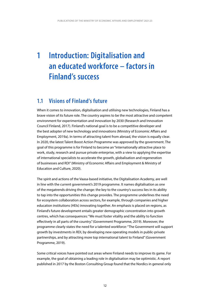### **1 Introduction: Digitalisation and an educated workforce – factors in Finland's success**

### **1.1 Visions of Finland's future**

When it comes to innovation, digitalisation and utilising new technologies, Finland has a brave vision of its future role. The country aspires to be the most attractive and competent environment for experimentation and innovation by 2030 (Research and Innovation Council Finland, 2017). Finland's national goal is to be a competitive developer and the best adopter of new technology and innovations (Ministry of Economic Affairs and Employment, 2019a). In terms of attracting talent from abroad, the vision is equally clear. In 2020, the latest Talent Boost Action Programme was approved by the government. The goal of this programme is for Finland to become an "internationally attractive place to work, study, research and pursue private enterprise, with a view to applying the expertise of international specialists to accelerate the growth, globalisation and regeneration of businesses and RDI" (Ministry of Economic Affairs and Employment & Ministry of Education and Culture, 2020).

The spirit and actions of the Vaasa-based initiative, the Digitalisation Academy, are well in line with the current government's 2019 programme. It names digitalisation as one of the megatrends driving the change: the key to the country's success lies in its ability to tap into the opportunities this change provides. The programme underlines the need for ecosystem collaboration across sectors, for example, through companies and higher education institutions (HEIs) innovating together. An emphasis is placed on regions, as Finland's future development entails greater demographic concentration into growth centres, which has consequences: "We must foster vitality and the ability to function effectively in all parts of the country." (Government Programme, 2019). Moreover, the programme clearly states the need for a talented workforce: "The Government will support growth by investments in RDI, by developing new operating models in public-private partnerships, and by attracting more top international talent to Finland" (Government Programme, 2019).

Some critical voices have pointed out areas where Finland needs to improve its game. For example, the goal of obtaining a leading role in digitalisation may be optimistic. A report published in 2017 by the Boston Consulting Group found that the Nordics in general only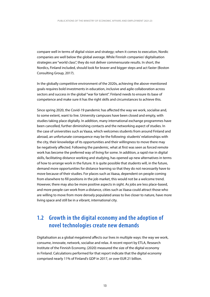compare well in terms of digital vision and strategy; when it comes to execution, Nordic companies are well below the global average. While Finnish companies' digitalisation strategies are "world class", they do not deliver commensurate results. In short, the Nordics, Finland included, should look for braver and bigger steps and act faster (Boston Consulting Group, 2017).

In the globally competitive environment of the 2020s, achieving the above-mentioned goals requires bold investments in education, inclusive and agile collaboration across sectors and success in the global "war for talent". Finland needs to ensure its base of competence and make sure it has the right skills and circumstances to achieve this.

Since spring 2020, the Covid-19 pandemic has affected the way we work, socialise and, to some extent, want to live. University campuses have been closed and empty, with studies taking place digitally. In addition, many international exchange programmes have been cancelled, further diminishing contacts and the networking aspect of studies. In the case of universities such as Vaasa, which welcomes students from around Finland and abroad, an unfortunate consequence may be the following: students' relationships with the city, their knowledge of its opportunities and their willingness to move there may be negatively affected. Following the pandemic, what at first was seen as forced remote work has become the preferred way of living for some. In addition, a rapid rise in digital skills, facilitating distance working and studying, has opened up new alternatives in terms of how to arrange work in the future. It is quite possible that students will, in the future, demand more opportunities for distance learning so that they do not necessarily have to move because of their studies. For places such as Vaasa, dependent on people coming from elsewhere to fill positions in the job market, this would not be a welcome trend. However, there may also be more positive aspects in sight. As jobs are less place-based, and more people can work from a distance, cities such as Vaasa could attract those who are willing to move from more densely populated areas to live closer to nature, have more living space and still be in a vibrant, international city.

### **1.2 Growth in the digital economy and the adoption of novel technologies create new demands**

Digitalisation as a global megatrend affects our lives in multiple ways: the way we work, consume, innovate, network, socialise and relax. A recent report by ETLA, Research Institute of the Finnish Economy, (2020) measured the size of the digital economy in Finland. Calculations performed for that report indicate that the digital economy comprised nearly 11% of Finland's GDP in 2017, or over EUR 21 billion.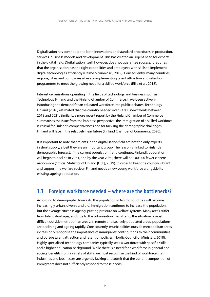Digitalisation has contributed to both innovations and standard procedures in production, services, business models and development. This has created an urgent need for experts in the digital field. Digitalisation itself, however, does not guarantee success: it requires that the organisation has the right capabilities and employees with skills to implement digital technologies efficiently (Halme & Niinikoski, 2019). Consequently, many countries, regions, cities and companies alike are implementing talent attraction and retention programmes to meet the growing need for a skilled workforce (Rilla et al., 2018).

Interest organisations operating in the fields of technology and business, such as Technology Finland and the Finland Chamber of Commerce, have been active in introducing the demand for an educated workforce into public debates. Technology Finland (2018) estimated that the country needed over 53 000 new talents between 2018 and 2021. Similarly, a more recent report by the Finland Chamber of Commerce summarises the issue from the business perspective: the immigration of a skilled workforce is crucial for Finland's competitiveness and for tackling the demographic challenges Finland will face in the relatively near future (Finland Chamber of Commerce, 2020).

It is important to note that talents in the digitalisation field are not the only experts in short supply, albeit they are an important group. The reason is linked to Finland's demographic forecast. If the current population trend continues, Finland's population will begin to decline in 2031, and by the year 2050, there will be 100 000 fewer citizens nationwide (Official Statistics of Finland [OSF], 2019). In order to keep the country vibrant and support the welfare society, Finland needs a new young workforce alongside its existing, ageing population.

### **1.3 Foreign workforce needed – where are the bottlenecks?**

According to demographic forecasts, the population in Nordic countries will become increasingly urban, diverse and old. Immigration continues to increase the population, but the average citizen is ageing, putting pressure on welfare systems. Many areas suffer from talent shortages, and due to the urbanisation megatrend, the situation is most difficult outside metropolitan areas. In remote and sparsely populated areas, populations are declining and ageing rapidly. Consequently, municipalities outside metropolitan areas increasingly recognise the importance of immigrants' contributions to their communities and pursue talent attraction and retention policies (Nordic Council of Ministers, 2018). Highly specialised technology companies typically seek a workforce with specific skills and a higher education background. While there is a need for a workforce in general and society benefits from a variety of skills, we must recognise the kind of workforce that industries and businesses are urgently lacking and admit that the current composition of immigrants does not sufficiently respond to these needs.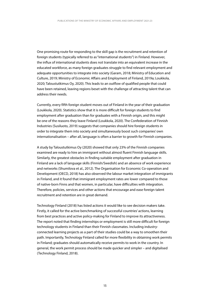One promising route for responding to the skill gap is the recruitment and retention of foreign students (typically referred to as "international students") in Finland. However, the influx of international students does not translate into an equivalent increase in the educated workforce, as many foreign graduates struggle to find relevant employment and adequate opportunities to integrate into society (Garam, 2018; Ministry of Education and Culture, 2019; Ministry of Economic Affairs and Employment of Finland, 2019a; Loukkola, 2020; Taloustutkimus Oy, 2020). This leads to an outflow of qualified people that could have been retained, leaving regions beset with the challenge of attracting talent that can address their needs.

Currently, every fifth foreign student moves out of Finland in the year of their graduation (Loukkola, 2020). Statistics show that it is more difficult for foreign students to find employment after graduation than for graduates with a Finnish origin, and this might be one of the reasons they leave Finland (Loukkola, 2020). The Confederation of Finnish Industries (Susiluoto, 2019) suggests that companies should hire foreign students in order to integrate them into society and simultaneously boost such companies' own internationalisation – after all, language is often a barrier to growth for Finnish companies.

A study by Taloustutkimus Oy (2020) showed that only 23% of the Finnish companies examined are ready to hire an immigrant without almost fluent Finnish language skills. Similarly, the greatest obstacles in finding suitable employment after graduation in Finland are a lack of language skills (Finnish/Swedish) and an absence of work experience and networks (Shumilova et al., 2012). The Organisation for Economic Co-operation and Development (OECD, 2018) has also observed the labour market integration of immigrants in Finland, and it found that immigrant employment rates are lower compared to those of native-born Finns and that women, in particular, have difficulties with integration. Therefore, policies, services and other actions that encourage and ease foreign talent recruitment and retention are in great demand.

Technology Finland (2018) has listed actions it would like to see decision makers take. Firstly, it called for the active benchmarking of successful countries' actions, learning from best practices and active policy-making for Finland to improve its attractiveness. The report noted that finding internships or employment is still more difficult for foreign technology students in Finland than their Finnish classmates. Including industryconnected learning projects as a part of their studies could be a way to smoothen their path. Importantly, Technology Finland called for more flexibility in obtaining work permits in Finland; graduates should automatically receive permits to work in the country. In general, the work permit process should be made quicker and simpler – and digitalised (Technology Finland, 2018).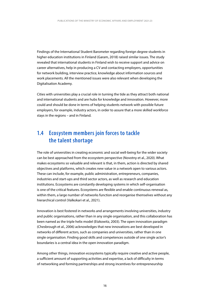Findings of the International Student Barometer regarding foreign degree students in higher education institutions in Finland (Garam, 2018) raised similar issues. The study revealed that international students in Finland wish to receive support and advice on career alternatives, help in producing a CV and contacting employers, opportunities for network building, interview practice, knowledge about information sources and work placements. All the mentioned issues were also relevant when developing the Digitalisation Academy.

Cities with universities play a crucial role in turning the tide as they attract both national and international students and are hubs for knowledge and innovation. However, more could and should be done in terms of helping students network with possible future employers, for example, industry actors, in order to assure that a more skilled workforce stays in the regions – and in Finland.

#### **1.4 Ecosystem members join forces to tackle the talent shortage**

The role of universities in creating economic and social well-being for the wider society can be best approached from the ecosystem perspective (Novotny et al., 2020). What makes ecosystems so valuable and relevant is that, in them, action is directed by shared objectives and platforms, which creates new value in a network open to various actors. These can include, for example, public administration, entrepreneurs, companies, industries and start-ups and third sector actors, as well as research and education institutions. Ecosystems are constantly developing systems in which self-organisation is one of the critical features. Ecosystems are flexible and enable continuous renewal as, within them, a large number of networks function and reorganise themselves without any hierarchical control (Valkokari et al., 2021).

Innovation is best fostered in networks and arrangements involving universities, industry and public organisations, rather than in any single organisation, and this collaboration has been named as the triple helix model (Etzkowitz, 2003). The open innovation paradigm (Chesbrough et al., 2006) acknowledges that new innovations are best developed in networks of different actors, such as companies and universities, rather than in one single organisation. Finding good skills and competences outside of one single actor's boundaries is a central idea in the open innovation paradigm.

Among other things, innovation ecosystems typically require creative and active people, a sufficient amount of supporting activities and expertise, a lack of difficulty in terms of networking and forming partnerships and strong incentives for entrepreneurship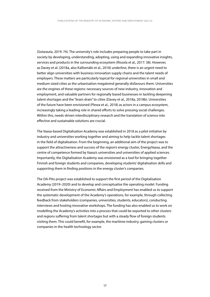(Sotarauta, 2019: 74). The university's role includes preparing people to take part in society by developing, understanding, adopting, using and expanding innovative insights, services and products in the surrounding ecosystem (Rissola et al., 2017: 38). However, as Davey et al. (2018a, also Kalliomäki et al., 2018) underline, there is an urgent need to better align universities with business innovation supply chains and the talent needs of employers. These matters are particularly topical for regional universities in small and medium-sized cities as the urbanisation megatrend generally disfavours them. Universities are the engines of these regions: necessary sources of new industry, innovation and employment, and valuable partners for regionally based businesses in tackling deepening talent shortages and the "brain drain" to cities (Davey et al., 2018a, 2018b). Universities of the future have been envisioned (Plewa et al., 2018) as actors in a campus ecosystem, increasingly taking a leading role in shared efforts to solve pressing social challenges. Within this, needs-driven interdisciplinary research and the translation of science into effective and sustainable solutions are crucial.

The Vaasa-based Digitalisation Academy was established in 2018 as a pilot initiative by industry and universities working together and aiming to help tackle talent shortages in the field of digitalisation. From the beginning, an additional aim of the project was to support the attractiveness and success of the region's energy cluster, EnergyVaasa, and the centre of competence formed by Vaasa's universities and universities of applied sciences. Importantly, the Digitalisation Academy was envisioned as a tool for bringing together Finnish and foreign students and companies, developing students' digitalisation skills and supporting them in finding positions in the energy cluster's companies.

The DA-Pito project was established to support the first period of the Digitalisation Academy (2019–2020) and to develop and conceptualise the operating model. Funding received from the Ministry of Economic Affairs and Employment has enabled us to support the systematic development of the Academy's operations, for example, through collecting feedback from stakeholders (companies, universities, students, educators), conducting interviews and hosting innovative workshops. The funding has also enabled us to work on modelling the Academy's activities into a process that could be exported to other clusters and regions suffering from talent shortages but with a steady flow of foreign students visiting them. This could benefit, for example, the maritime industry, gaming clusters or companies in the health technology sector.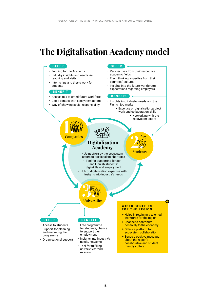# **The Digitalisation Academy model**

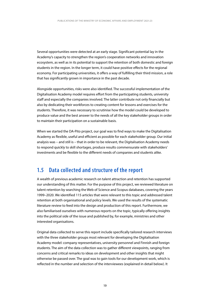Several opportunities were detected at an early stage. Significant potential lay in the Academy's capacity to strengthen the region's cooperation networks and innovation ecosystem, as well as in its potential to support the retention of both domestic and foreign students in the region. In the longer term, it could have positive effects for the regional economy. For participating universities, it offers a way of fulfilling their third mission, a role that has significantly grown in importance in the past decade.

Alongside opportunities, risks were also identified. The successful implementation of the Digitalisation Academy model requires effort from the participating students, university staff and especially the companies involved. The latter contribute not only financially but also by dedicating their workforces to creating content for lessons and exercises for the students. Therefore, it was necessary to scrutinise how the model could be developed to produce value and the best answer to the needs of all the key stakeholder groups in order to maintain their participation on a sustainable basis.

When we started the DA-Pito project, our goal was to find ways to make the Digitalisation Academy as flexible, useful and efficient as possible for each stakeholder group. Our initial analysis was – and still is – that in order to be relevant, the Digitalisation Academy needs to respond quickly to skill shortages, produce results commensurate with stakeholders' investments and be flexible to the different needs of companies and students alike.

#### **1.5 Data collected and structure of the report**

A wealth of previous academic research on talent attraction and retention has supported our understanding of this matter. For the purpose of this project, we reviewed literature on talent retention by searching the Web of Science and Scopus databases, covering the years 1999–2020. We identified 115 articles that were relevant to this topic and addressed talent retention at both organisational and policy levels. We used the results of the systematic literature review to feed into the design and production of this report. Furthermore, we also familiarised ourselves with numerous reports on the topic, typically offering insights into the political side of the issue and published by, for example, ministries and other interested organisations.

Original data collected to serve this report include specifically tailored research interviews with the three stakeholder groups most relevant for developing the Digitalisation Academy model: company representatives, university personnel and Finnish and foreign students. The aim of the data collection was to gather different viewpoints, ranging from concerns and critical remarks to ideas on development and other insights that might otherwise be passed over. The goal was to gain tools for our development work, which is reflected in the number and selection of the interviewees (explained in detail below). It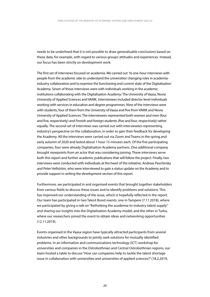needs to be underlined that it is not possible to draw generalisable conclusions based on these data, for example, with regard to various groups' attitudes and experiences. Instead, our focus has been strictly on development work.

 both this report and further academic publications that will follow the project. Finally, two The first set of interviews focused on academia. We carried out 16 one-hour interviews with people from the academic side to understand the universities' changing roles in academiaindustry collaboration and to examine the functioning and current state of the Digitalisation Academy. Seven of those interviews were with individuals working in the academic institutions collaborating with the Digitalisation Academy: The University of Vaasa, Novia University of Applied Sciences and VAMK. Interviewees included director-level individuals working with services in education and degree programmes. Nine of the interviews were with students, four of them from the University of Vaasa and five from VAMK and Novia University of Applied Sciences. The interviewees represented both women and men (four and five, respectively) and Finnish and foreign students (five and four, respectively) rather equally. The second set of interviews was carried out with interviewees representing industry's perspective on the collaboration, in order to gain their feedback for developing the Academy. All the interviews were carried out via Zoom and Teams in the spring and early autumn of 2020 and lasted about 1 hour 15 minutes each. Of the five participating companies, four were already Digitalisation Academy partners. One additional company brought viewpoints from an actor that was considering joining. These interviews serve interviews were conducted with individuals at the heart of the initiative, Andreas Paschinsky and Peter Hellström, who were interviewed to gain a status update on the Academy and to provide support in writing the development section of this report.

Furthermore, we participated in and organised events that brought together stakeholders from various fields to discuss these issues and to identify problems and solutions. This has improved our understanding of the issue, which is hopefully reflected in the report. Our team has participated in two Talent Boost events: one in Tampere (7.11.2018), where we participated by giving a talk on "Rethinking the academia-to-industry talent supply" and sharing our insights into the Digitalisation Academy model; and the other in Turku, where our researchers joined the event to obtain ideas and networking opportunities (12.11.2019).

Events organised in the Vaasa region have typically attracted participants from several industries and other backgrounds to jointly seek solutions for mutually identified problems. In an information and communications technology (ICT) workshop for universities and companies in the Ostrobothnian and Central Ostrobothnian regions, our team hosted a table to discuss "How can companies help to tackle the talent shortage issue in collaboration with universities and universities of applied sciences?" (18.2.2019,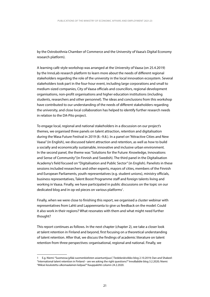by the Ostrobothnia Chamber of Commerce and the University of Vaasa's Digital Economy research platform).

A learning café-style workshop was arranged at the University of Vaasa (on 25.4.2019) by the InnoLab research platform to learn more about the needs of different regional stakeholders regarding the role of the university in the local innovation ecosystem. Several stakeholders took part in the four-hour event, including large corporations and small to medium-sized companies, City of Vaasa officials and councillors, regional development organisations, non-profit organisations and higher education institutions (including students, researchers and other personnel). The ideas and conclusions from this workshop have contributed to our understanding of the needs of different stakeholders regarding the university, and close local collaboration has helped to identify further research needs in relation to the DA-Pito project.

To engage local, regional and national stakeholders in a discussion on our project's themes, we organised three panels on talent attraction, retention and digitalisation during the Wasa Future Festival in 2019 (8.–9.8.). In a panel on "Attractive Cities and New Vaasa" (in English), we discussed talent attraction and retention, as well as how to build a socially and economically sustainable, innovative and inclusive urban environment. In the second panel, the theme was "Solutions for the Future: Knowledge, Innovations and Sense of Community"(in Finnish and Swedish). The third panel in the Digitalisation Academy's field focused on "Digitalisation and Public Sector" (in English). Panelists in these sessions included researchers and other experts, mayors of cities, members of the Finnish and European Parliaments, youth representatives (e.g. student unions), ministry officials, business representatives, Talent Boost Programme staff and foreign talents living and working in Vaasa. Finally, we have participated in public discussions on the topic on our dedicated blog and in op-ed pieces on various platforms<sup>1</sup>.

Finally, when we were close to finishing this report, we organised a cluster webinar with representatives from Lahti and Lappeenranta to give us feedback on the model: Could it also work in their regions? What resonates with them and what might need further thought?

This report continues as follows. In the next chapter (chapter 2), we take a closer look at talent retention in Finland and beyond, first focusing on a theoretical understanding of talent retention. After that, we discuss the findings of academic literature on talent retention from three perspectives: organisational, regional and national. Finally, we

E.g. Niemi: "Suomessa jyllää suomenkielisten asiantuntijuus", Tiedekeskiviikko blog 2.10.2019; Dan and Shakeel: 1 "International talent retention in Finland – are we asking the right questions?" InnoBabble blog 3.2.2020; Niemi: "Miksei koulutettu ulkomaalainen kelpaa?" Kauppalehti column 24.2.2020.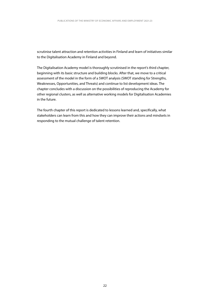scrutinise talent attraction and retention activities in Finland and learn of initiatives similar to the Digitalisation Academy in Finland and beyond.

The Digitalisation Academy model is thoroughly scrutinised in the report's third chapter, beginning with its basic structure and building blocks. After that, we move to a critical assessment of the model in the form of a SWOT analysis (SWOT standing for Strengths, Weaknesses, Opportunities, and Threats) and continue to list development ideas. The chapter concludes with a discussion on the possibilities of reproducing the Academy for other regional clusters, as well as alternative working models for Digitalisation Academies in the future.

The fourth chapter of this report is dedicated to lessons learned and, specifically, what stakeholders can learn from this and how they can improve their actions and mindsets in responding to the mutual challenge of talent retention.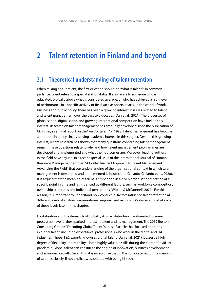#### **2 Talent retention in Finland and beyond**

#### **2.1 Theoretical understanding of talent retention**

When talking about talent, the first question should be "What is talent?" In common parlance, talent refers to a special skill or ability. It also refers to someone who is educated, typically above what is considered average, or who has achieved a high level of performance in a specific activity or field such as sports or arts. In the world of work, business and public policy, there has been a growing interest in issues related to talent and talent management over the past two decades (Dan et al., 2021). The processes of globalisation, digitalisation and growing international competition have fuelled this interest. Research on talent management has gradually developed since the publication of McKinsey's seminal report on the "war for talent" in 1998. Talent management has become a hot topic in policy circles, driving academic interest in this subject. Despite this growing interest, recent research has shown that many questions concerning talent management remain. These questions relate to why and how talent management programmes are developed and implemented and what their outcomes are. Moreover, leading authors in the field have argued, in a recent special issue of the International Journal of Human Resource Management entitled "A Contextualized Approach to Talent Management: Advancing the Field" that our understanding of the organisational context in which talent management is developed and implemented is insufficient (Gallardo-Gallardo et al., 2020). It is argued that the meaning of talent is embedded in a given organisational setting at a specific point in time and is influenced by different factors, such as workforce composition, ownership structures and individual perceptions (Wiblen & McDonnell, 2020). For this reason, it is important to understand how contextual factors influence talent retention at different levels of analysis: organisational, regional and national. We discuss in detail each of these levels later in this chapter.

Digitalisation and the demands of Industry 4.0 (i.e., data-driven, automated business processes) have further sparked interest in talent and its management. The 2019 Boston Consulting Group's "Decoding Global Talent" series of articles has focused on trends in global talent, including expert-level professionals who work in the digital and IT&C industries. These IT&C experts known as digital talent (Dan et al. 2021), possess a high degree of flexibility and mobility – both highly valuable skills during the current Covid-19 pandemic. Global talent can constitute the engine of innovation, business development and economic growth. Given this, it is no surprise that in the corporate sector the meaning of talent is closely, if not explicitly, associated with being hi-tech.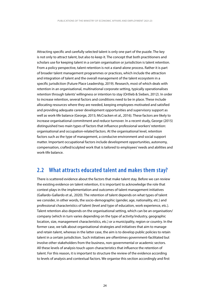Attracting specific and carefully selected talent is only one part of the puzzle. The key is not only to attract talent, but also to keep it. The concept that both practitioners and scholars use for keeping talent in a certain organisation or jurisdiction is talent retention. From a policy perspective, talent retention is not a stand-alone process. Rather it is part of broader talent management programmes or practices, which include the attraction and integration of talent and the overall management of the talent ecosystem in a specific jurisdiction (Future Place Leadership, 2019). Research, most of which deals with retention in an organisational, multinational corporate setting, typically operationalises retention through talents' willingness or intention to stay (Ortlieb & Sieben, 2012). In order to increase retention, several factors and conditions need to be in place. These include allocating resources where they are needed, keeping employees motivated and satisfied and providing adequate career development opportunities and supervisory support as well as work-life balance (George, 2015; McCracken et al., 2016). These factors are likely to increase organisational commitment and reduce turnover. In a recent study, George (2015) distinguished two main types of factors that influence professional workers' retention: organisational and occupation-related factors. At the organisational level, retention factors such as the type of management, a conducive environment and social support matter. Important occupational factors include development opportunities, autonomy, compensation, crafted/sculpted work that is tailored to employees' needs and abilities and work-life balance.

#### **2.2 What attracts educated talent and makes them stay?**

There is scattered evidence about the factors that make talent stay. Before we can review the existing evidence on talent retention, it is important to acknowledge the role that context plays in the implementation and outcomes of talent management initiatives (Gallardo-Gallardo et al., 2020). The retention of talent depends on what types of talent we consider, in other words, the socio-demographic (gender, age, nationality, etc.) and professional characteristics of talent (level and type of education, work experience, etc.). Talent retention also depends on the organisational setting, which can be an organisation/ company (which in turn varies depending on the type of activity/industry, geographic location, size, management characteristics, etc.) or a municipality, region or country. In the former case, we talk about organisational strategies and initiatives that aim to manage and retain talent, whereas in the latter case, the aim is to develop public policies to retain talent in a certain jurisdiction. Such initiatives are oftentimes government-facilitated but involve other stakeholders from the business, non-governmental or academic sectors. All these levels of analysis touch upon characteristics that influence the retention of talent. For this reason, it is important to structure the review of the evidence according to levels of analysis and contextual factors. We organise this section accordingly and first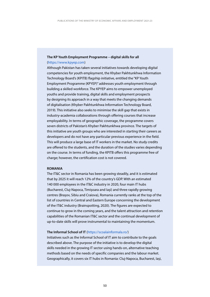#### **The KP Youth Employment Programme – digital skills for all** [\(https://www.kpyep.com](https://www.kpyep.com))

Although Pakistan has taken several initiatives towards developing digital competencies for youth employment, the Khyber Pakhtunkhwa Information Technology Board's (KPITB) flagship initiative, entitled the "KP Youth Employment Programme (KPYEP)" addresses youth employment through building a skilled workforce. The KPYEP aims to empower unemployed youths and provide training, digital skills and employment prospects by designing its approach in a way that meets the changing demands of digitalisation (Khyber Pakhtunkhwa Information Technology Board, 2019). This initiative also seeks to minimise the skill gap that exists in industry-academia collaborations through offering courses that increase employability. In terms of geographic coverage, the programme covers seven districts of Pakistan's Khyber Pakhtunkhwa province. The targets of this initiative are youth groups who are interested in starting their careers as developers and do not have any particular previous experience in the field. This will produce a large base of IT workers in the market. No study credits are offered to the students, and the duration of the studies varies depending on the course. In terms of funding, the KPITB offers this programme free of charge; however, the certification cost is not covered.

#### **ROMANIA**

The IT&C sector in Romania has been growing steadily, and it is estimated that by 2025 it will reach 12% of the country's GDP. With an estimated 140 000 employees in the IT&C industry in 2020, four main IT hubs (Bucharest, Cluj-Napoca, Timișoara and Iași) and three rapidly growing centres (Brașov, Sibiu and Craiova), Romania currently ranks at the top of the list of countries in Central and Eastern Europe concerning the development of the IT&C industry (Brainspotting, 2020). The figures are expected to continue to grow in the coming years, and the talent attraction and retention capabilities of the Romanian IT&C sector and the continual development of up-to-date skills will prove instrumental to maintaining the momentum.

#### **The Informal School of IT** [\(https://scoalainformala.ro](https://scoalainformala.ro)/)

Initiatives such as the Informal School of IT aim to contribute to the goals described above. The purpose of the initiative is to develop the digital skills needed in the growing IT sector using hands-on, alternative teaching methods based on the needs of specific companies and the labour market. Geographically, it covers six IT hubs in Romania: Cluj-Napoca, Bucharest, Iași,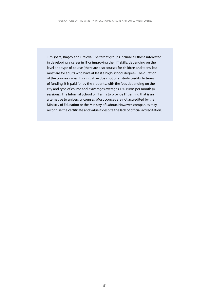recognise the certificate and value it despite the lack of official accreditation. Timișoara, Brașov and Craiova. The target groups include all those interested in developing a career in IT or improving their IT skills, depending on the level and type of course (there are also courses for children and teens, but most are for adults who have at least a high-school degree). The duration of the courses varies. This initiative does not offer study credits. In terms of funding, it is paid for by the students, with the fees depending on the city and type of course and it averages averages 150 euros per month (4 sessions). The Informal School of IT aims to provide IT training that is an alternative to university courses. Most courses are not accredited by the Ministry of Education or the Ministry of Labour. However, companies may recognise the certificate and value it despite the lack of official accreditation.<br>51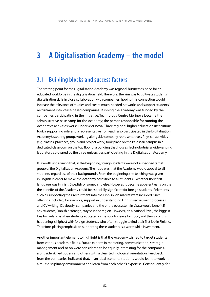### **3 A Digitalisation Academy – the model**

### **3.1 Building blocks and success factors**

The starting point for the Digitalisation Academy was regional businesses' need for an educated workforce in the digitalisation field. Therefore, the aim was to cultivate students' digitalisation skills in close collaboration with companies, hoping this connection would increase the relevance of studies and create much-needed networks and support students' recruitment into Vaasa-based companies. Running the Academy was funded by the companies participating in the initiative. Technology Centre Merinova became the administrative base camp for the Academy; the person responsible for running the Academy's activities works under Merinova. Three regional higher education institutions took a supporting role, and a representative from each also participated in the Digitalisation Academy's steering group, working alongside company representatives. Physical activities (e.g. classes, practices, group and project work) took place on the Palosaari campus in a dedicated classroom on the top floor of a building that houses Technobotnia, a wide-ranging laboratory co-owned by the three universities participating in the Digitalisation Academy.

 and CV writing. Obviously, companies and the entire ecosystem in Vaasa would benefit if It is worth underlining that, in the beginning, foreign students were not a specified target group of the Digitalisation Academy. The hope was that the Academy would appeal to all students, regardless of their backgrounds. From the beginning, the teaching was given in English in order to make the Academy accessible to all students – whether their first language was Finnish, Swedish or something else. However, it became apparent early on that the benefits of the Academy could be especially significant for foreign students if elements such as supporting their recruitment into the Finnish job market were included. Such offerings included, for example, support in understanding Finnish recruitment processes any students. Finnish or foreign, stayed in the region. However, on a national level, the biggest loss for Finland is when students educated in the country leave for good, and the risk of this happening is highest with foreign students, who often struggle to find their first job in Finland. Therefore, placing emphasis on supporting these students is a worthwhile investment.

Another important element to highlight is that the Academy wished to target students from various academic fields. Future experts in marketing, communication, strategic management and so on were considered to be equally interesting for the companies, alongside skilled coders and others with a clear technological orientation. Feedback from the companies indicated that, in an ideal scenario, students would learn to work in a multidisciplinary environment and learn from each other's expertise. Consequently, for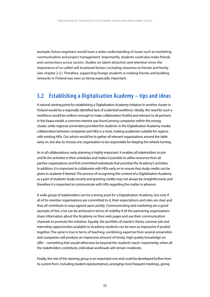example, future engineers would have a wider understanding of issues such as marketing, communication and project management. Importantly, students could also make friends and connections across sectors. Studies on talent attraction and retention show the importance of so-called soft locational factors, including closeness to friends and family (see chapter 2.2.). Therefore, supporting foreign students in making friends and building networks in Finland was seen as being especially important.

### **3.2 Establishing a Digitalisation Academy – tips and ideas**

A natural starting point for establishing a Digitalisation Academy initiative in another cluster in Finland would be a regionally identified lack of a talented workforce. Ideally, the need for such a workforce would be uniform enough to make collaboration fruitful and relevant to all partners. In the Vaasa model, a common interest was found among companies within the energy cluster, while regional universities provided the students. In the Digitalisation Academy model, collaboration between companies and HEIs is a must, making academies suitable for regions with existing HEIs. Our advice would be to gather all relevant organisations around the table early on, but also to choose one organisation to be responsible for keeping the wheels turning.

As in all collaborations, early planning is highly important. It enables all stakeholders to join and fix the activities in their schedules and makes it possible to utilise resources from all partner organisations and find committed individuals that prioritise the Academy's activities. In addition, it is important to collaborate with HEIs early on to ensure that study credits can be given to students if desired. The process of recognising the content of a Digitalisation Academy as a part of students' study records and granting credits may not always be straightforward, and therefore it is important to communicate with HEIs regarding the matter in advance.

A wide group of stakeholders can be a strong asset for a Digitalisation Academy, but only if all of its member organisations are committed to it, their expectations and roles are clear and they all contribute in ways agreed upon jointly. Communicating and marketing are a good example of this: a lot can be achieved in terms of visibility if all the partnering organisations share information about the Academy on their web pages and use their communication channels to promote the initiative. Equally, the portfolio of master's thesis, summer job and internship opportunities available to Academy students can be seen as impressive if pooled together. The same is true in terms of teaching: combining expertise from several universities and companies will produce an impressive amount of timely, high quality knowledge on offer – something that would otherwise be beyond the students' reach. Importantly, when all the stakeholders contribute, individual workloads will remain moderate.

Finally, the role of the steering group is an important one and could be developed further from its current form. Including student representatives, arranging more frequent meetings, giving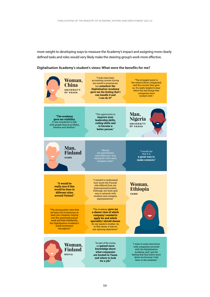more weight to developing ways to measure the Academy's impact and assigning more clearly defined tasks and roles would very likely make the steering group's work more effective.

#### **Digitalisation Academy's student's views: What were the benefits for me?**

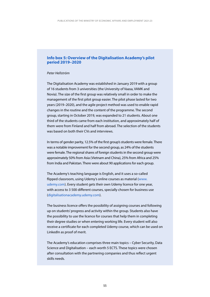#### **Info box 5: Overview of the Digitalisation Academy's pilot period 2019–2020**

#### *Peter Hellström*

The Digitalisation Academy was established in January 2019 with a group of 16 students from 3 universities (the University of Vaasa, VAMK and Novia). The size of the first group was relatively small in order to make the management of the first pilot group easier. The pilot phase lasted for two years (2019–2020), and the agile project method was used to enable rapid changes in the routine and the content of the programme. The second group, starting in October 2019, was expanded to 21 students. About one third of the students came from each institution, and approximately half of them were from Finland and half from abroad. The selection of the students was based on both their CVs and interviews.

In terms of gender parity, 12.5% of the first group's students were female. There was a notable improvement for the second group, as 24% of the students were female. The regional shares of foreign students in the second group were approximately 50% from Asia (Vietnam and China), 25% from Africa and 25% from India and Pakistan. There were about 90 applications for each group.

The Academy's teaching language is English, and it uses a so-called flipped classroom, using Udemy's online courses as material (www. [udemy.com](https://udemy.com)). Every student gets their own Udemy licence for one year, with access to 3 500 different courses, specially chosen for business use [\(digitalisationacademy.udemy.com](https://digitalisationacademy.udemy.com)).

The business licence offers the possibility of assigning courses and following up on students' progress and activity within the group. Students also have the possibility to use the licence for courses that help them in completing their degree studies or when entering working life. Every student will also receive a certificate for each completed Udemy course, which can be used on LinkedIn as proof of merit.

The Academy's education comprises three main topics – Cyber Security, Data Science and Digitalisation – each worth 5 ECTS. These topics were chosen after consultation with the partnering companies and thus reflect urgent skills needs.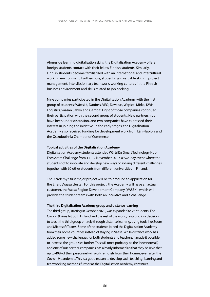Alongside learning digitalisation skills, the Digitalisation Academy offers foreign students contact with their fellow Finnish students. Similarly, Finnish students become familiarised with an international and intercultural working environment. Furthermore, students gain valuable skills in project management, interdisciplinary teamwork, working cultures in the Finnish business environment and skills related to job-seeking.

Nine companies participated in the Digitalisation Academy with the first group of students: Wärtsilä, Danfoss, VEO, Devatus, Wapice, Mirka, KWH Logistics, Vaasan Sähkö and Gambit. Eight of those companies continued their participation with the second group of students. New partnerships have been under discussion, and two companies have expressed their interest in joining the initiative. In the early stages, the Digitalisation Academy also received funding for development work from Lähi-Tapiola and the Ostrobothnia Chamber of Commerce.

#### **Topical activities of the Digitalisation Academy**

Digitalisation Academy students attended Wärtsilä's Smart Technology Hub Ecosystem Challenge from 11–12 November 2019, a two-day event where the students got to innovate and develop new ways of solving different challenges together with 60 other students from different universities in Finland.

The Academy's first major project will be to produce an application for the EnergyVaasa cluster. For this project, the Academy will have an actual customer, the Vaasa Region Development Company (VASEK), which will provide the student teams with both an incentive and a challenge.

#### **The third Digitalisation Academy group and distance learning**

The third group, starting in October 2020, was expanded to 25 students. The Covid-19 virus hit both Finland and the rest of the world, resulting in a decision to teach the third group entirely through distance learning, using tools like Zoom and Microsoft Teams. Some of the students joined the Digitalisation Academy from their home countries instead of staying in Vaasa. While distance work has added some new challenges for both students and teachers, it made it possible to increase the group size further. This will most probably be the "new normal", and one of our partner companies has already informed us that they believe that up to 40% of their personnel will work remotely from their homes, even after the Covid-19 pandemic. This is a good reason to develop such teaching, learning and teamworking methods further as the Digitalisation Academy continues.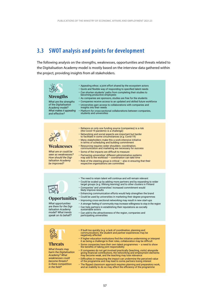### **3.3 SWOT analysis and points for development**

The following analysis on the strengths, weaknesses, opportunities and threats related to the Digitalisation Academy model is mostly based on the interview data gathered within the project, providing insights from all stakeholders.



*What opportunities are there for the Digitalisation Academy model? What trends speak on its behalf?* 

- Enhancing communication efforts would help strengthen the brand
- **Opportunities**  $\cdot$  Could be used by universities in marketing their degree programmes
	- Improving cross-sectional networking may result in new start-ups
	- A stronger feeling of community may increase willingness to stay in the region • Can help partners in establishing their reputations as socially sustainable actors
	- Can add to the attractiveness of the region, companies and participating universities



• If built too quickly (e.g. a lack of coordination, planning and communication), the student and partner experiences may be negatively affected

### **Threats**

*What threats may harm the Digitalisation Academy? What weaknesses could become threats? Is there competition in the field?*

- 
- If higher education institutions find the initiative undermining or interpret it as being a challenge to their roles, collaboration may be difficult • Some companies have their own talent programmes — a need to show
- the benefits of taking joint responsibility
- If companies do not get involved practically (teaching, visits) alongside giving financial contributions, the networking and employment elements may become weak, and the teaching may lose relevance
- Difficulties in measuring the impact can undermine the perceived value of the programme and may lead to some partners losing interest
- The flipped classroom approach requires planning and preparatory work, and an inability to do so may affect the efficiency of the programme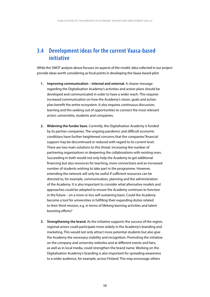### **3.4 Development ideas for the current Vaasa-based initiative**

While the SWOT analysis above focuses on aspects of the model, data collected in our project provide ideas worth considering as focal points in developing the Vaasa-based pilot.

- **1. Improving communication internal and external.** A clearer message regarding the Digitalisation Academy's activities and action plans should be developed and communicated in order to have a wider reach. This requires increased communication on how the Academy's vision, goals and action plan beneft the entire ecosystem. It also requires continuous discussion, learning and the seeking out of opportunities to connect the most relevant actors: universities, students and companies.
- **2. Widening the funder base.** Currently, the Digitalisation Academy is funded by its partner companies. The ongoing pandemic and difficult economic conditions have further heightened concerns that the companies' fnancial support may be discontinued or reduced with regard to its current level. There are two main solutions to this threat: increasing the number of partnering organisations or deepening the collaborations with existing ones. Succeeding in both would not only help the Academy to get additional fnancing but also resources for teaching, more connections and an increased number of students wishing to take part in the programme. However, extending the network will only be useful if sufficient resources can be directed to, for example, communication, planning and the administration of the Academy. It is also important to consider what alternative models and approaches could be adopted to ensure the Academy continues to function in the future – on a more or less self-sustaining basis. Could the Academy become a tool for universities in fulflling their expanding duties related to their third mission, e.g. in terms of lifelong learning activities and talent boosting efforts?
- **3. Strengthening the brand.** As the initiative supports the success of the region, regional actors could participate more widely in the Academy's branding and marketing. This would not only attract more potential students but also give the Academy the necessary visibility and recognition. Promoting the initiative on the company and university websites and at diferent events and fairs, as well as in local media, could strengthen the brand name. Working on the Digitalisation Academy's branding is also important for spreading awareness to a wider audience, for example, across Finland. This may encourage others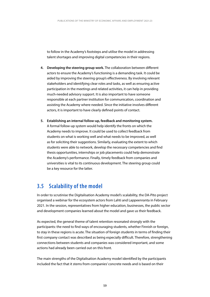to follow in the Academy's footsteps and utilise the model in addressing talent shortages and improving digital competencies in their regions.

- **4. Developing the steering group work.** The collaboration between diferent actors to ensure the Academy's functioning is a demanding task. It could be aided by improving the steering group's efectiveness. By involving relevant stakeholders and identifying clear roles and tasks, as well as ensuring active participation in the meetings and related activities, it can help in providing much-needed advisory support. It is also important to have someone responsible at each partner institution for communication, coordination and assisting the Academy where needed. Since the initiative involves diferent actors, it is important to have clearly defned points of contact.
- **5. Establishing an internal follow-up, feedback and monitoring system.**  A formal follow-up system would help identify the fronts on which the Academy needs to improve. It could be used to collect feedback from students on what is working well and what needs to be improved, as well as for soliciting their suggestions. Similarly, evaluating the extent to which students were able to network, develop the necessary competencies and fnd thesis opportunities, internships or job placements could help demonstrate the Academy's performance. Finally, timely feedback from companies and universities is vital to its continuous development. The steering group could be a key resource for the latter.

### **3.5 Scalability of the model**

In order to scrutinise the Digitalisation Academy model's scalability, the DA-Pito project organised a webinar for the ecosystem actors from Lahti and Lappeenranta in February 2021. In the session, representatives from higher education, businesses, the public sector and development companies learned about the model and gave us their feedback.

As expected, the general theme of talent retention resonated strongly with the participants: the need to find ways of encouraging students, whether Finnish or foreign, to stay in these regions is acute. The situation of foreign students in terms of finding their first company contact was described as being especially difficult. Therefore, strengthening connections between students and companies was considered important, and some actions had already been carried out on this front.

The main strengths of the Digitalisation Academy model identified by the participants included the fact that it stems from companies' concrete needs and is based on their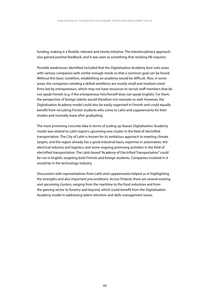funding, making it a flexible, relevant and timely initiative. The interdisciplinary approach also gained positive feedback, and it was seen as something that working life requires.

Possible weaknesses identified included that the Digitalisation Academy best suits areas with various companies with similar enough needs so that a common goal can be found. Without this basic condition, establishing an academy would be difficult. Also, in some areas, the companies needing a skilled workforce are mostly small and medium-sized firms led by entrepreneurs, which may not have resources to recruit staff members that do not speak Finnish (e.g. if the entrepreneur him/herself does not speak English). For them, the perspective of foreign talents would therefore not resonate so well. However, the Digitalisation Academy model could also be easily organised in Finnish and could equally benefit from recruiting Finnish students who come to Lahti and Lappeenranta for their studies and normally leave after graduating.

The most promising concrete idea in terms of scaling up Vaasa's Digitalisation Academy model was related to Lahti region's upcoming new cluster in the field of electrified transportation. The City of Lahti is known for its ambitious approach to meeting climate targets, and the region already has a good industrial basis; expertise in automation, the electrical industry and logistics; and some ongoing promising activities in the field of electrified transportation. The Lahti-based "Academy of Electrified Transportation" could be run in English, targeting both Finnish and foreign students. Companies involved in it would be in the technology industry.

Discussions with representatives from Lahti and Lappeenranta helped us in highlighting the strengths and also important preconditions. Across Finland, there are several existing and upcoming clusters, ranging from the maritime to the food industries and from the gaming sector to forestry and beyond, which could benefit from the Digitalisation Academy model in addressing talent retention and skills management issues.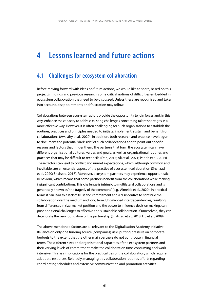#### **4 Lessons learned and future actions**

### **4.1 Challenges for ecosystem collaboration**

Before moving forward with ideas on future actions, we would like to share, based on this project's findings and previous research, some critical notions of difficulties embedded in ecosystem collaboration that need to be discussed. Unless these are recognised and taken into account, disappointments and frustration may follow.

 more effective way. However, it is often challenging for such organisations to establish the behaviour, which means that some partners benefit from the collaborations while making deteriorate the very foundation of the partnership (Shahzad et al., 2018; Liu et al., 2009). Collaborations between ecosystem actors provide the opportunity to join forces and, in this way, enhance the capacity to address existing challenges concerning talent shortages in a routines, practices and principles needed to initiate, implement, sustain and benefit from collaborations (Awasthy et al., 2020). In addition, both research and practice have begun to document the potential "dark side" of such collaborations and to point out specific reasons and factors that hinder them. The partners that form the ecosystem can have different organisational cultures, values and goals, as well as organisational routines and practices that may be difficult to reconcile (Dan, 2017; Ali et al., 2021; Parida et al., 2014). These factors can lead to conflict and unmet expectations, which, although common and inevitable, are an essential aspect of the practice of ecosystem collaboration (Shahzad et al. 2020; Shahzad, 2018). Moreover, ecosystem partners may experience opportunistic insignificant contributions. This challenge is intrinsic to multilateral collaborations and is generically known as "the tragedy of the commons" (e.g., Almeida et al., 2020). In practical terms it can lead to a lack of trust and commitment and a disincentive to continue the collaboration over the medium and long term. Unbalanced interdependencies, resulting from differences in size, market position and the power to influence decision making, can pose additional challenges to effective and sustainable collaboration. If unresolved, they can

coordinating schedules and extensive communication and promotion activities.<br>  $61$ The above-mentioned factors are all relevant to the Digitalisation Academy initiative. Reliance on only one funding source (companies) risks putting pressure on corporate budgets to the extent that the other main partners do not contribute in financial terms. The different sizes and organisational capacities of the ecosystem partners and their varying levels of commitment make the collaboration time-consuming and work intensive. This has implications for the practicalities of the collaboration, which require adequate resources. Relatedly, managing this collaboration requires efforts regarding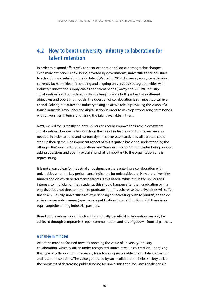## **4.2 How to boost university-industry collaboration for talent retention**

In order to respond effectively to socio-economic and socio-demographic changes, even more attention is now being devoted by governments, universities and industries to attracting and retaining foreign talent (Vauterin, 2012). However, ecosystem thinking currently lacks the idea of reshaping and aligning universities' strategic activities with industry's innovation supply chains and talent needs (Davey et al., 2019). Industry collaboration is still considered quite challenging since both parties have different objectives and operating models. The question of collaboration is still most topical, even critical. Solving it requires the industry taking an active role in prevailing the vision of a fourth industrial revolution and digitalisation in order to develop strong, long-term bonds with universities in terms of utilising the talent available in them.

Next, we will focus mostly on how universities could improve their role in ecosystem collaboration. However, a few words on the role of industries and businesses are also needed. In order to build and nurture dynamic ecosystem activities, all partners could step up their game. One important aspect of this is quite a basic one: understanding the other parties' work cultures, operations and "business models". This includes being curious, asking questions and openly explaining what is important to the organisation one is representing.

It is not always clear for industrial or business partners entering a collaboration with universities what the key performance indicators for universities are: How are universities funded and on which performance targets is this based? While it is in the universities' interests to find jobs for their students, this should happen after their graduation or in a way that does not threaten them to graduate on time, otherwise the universities will suffer financially. Equally, universities are experiencing an increasing push to publish, and to do so in an accessible manner (open access publications), something for which there is no equal appetite among industrial partners.

Based on these examples, it is clear that mutually beneficial collaboration can only be achieved through compromises, open communication and lots of goodwill from all partners.

#### **A change in mindset**

Attention must be focused towards boosting the value of university-industry collaboration, which is still an under-recognised source of value co-creation. Energising this type of collaboration is necessary for advancing sustainable foreign talent attraction and retention solutions. The value generated by such collaboration helps society tackle the problems of decreasing public funding for universities and industry's challenges in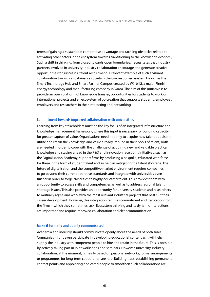terms of gaining a sustainable competitive advantage and tackling obstacles related to activating other actors in the ecosystem towards transitioning to the knowledge economy. Such a shift in thinking, from closed towards open boundaries, necessitates that industry partners involved in university-industry collaboration encourage and generate creative opportunities for successful talent recruitment. A relevant example of such a vibrant collaboration towards a sustainable society is the co-creation ecosystem known as the Smart Technology Hub and Smart Partner Campus created by Wärtsilä, a major Finnish energy technology and manufacturing company in Vaasa. The aim of this initiative is to provide an open platform of knowledge transfer, opportunities for students to work on international projects and an ecosystem of co-creation that supports students, employees, employers and researchers in their interacting and networking.

#### **Commitment towards improved collaboration with universities**

Learning from key stakeholders must be the key focus of an integrated infrastructure and knowledge management framework, where this input is necessary for building capacity for greater capture of value. Organisations need not only to acquire new talent but also to utilise and retain the knowledge and value already imbued in their pools of talent; both are needed in order to cope with the challenge of acquiring new and valuable practical knowledge and staying ahead in the R&D and innovation race. Joint initiatives, such as the Digitalisation Academy, support firms by producing a bespoke, educated workforce for them in the form of student talent and so help in mitigating the talent shortage. The future of digitalisation and the competitive market environment requires companies to go beyond their current operative standards and integrate with universities even further in order to forge closer ties to highly educated talent. This provides them with an opportunity to access skills and competencies as well as to address regional talent shortage issues. This also provides an opportunity for university students and researchers to mutually agree and work with the most relevant industrial projects that best suit their career development. However, this integration requires commitment and dedication from the firms – which they sometimes lack. Ecosystem thinking and its dynamic interactions are important and require improved collaboration and clear communication.

#### **Make it formally and openly communicated**

Academia and industry should communicate openly about the needs of both sides. Companies might even participate in developing educational content as it will help supply the industry with competent people to hire and retain in the future. This is possible by actively taking part in joint workshops and seminars. However, university-industry collaboration, at the moment, is mainly based on personal networks; formal arrangements or programmes for long-term cooperation are rare. Building trust, establishing permanent contact points and appointing dedicated people to smoothen such collaborations are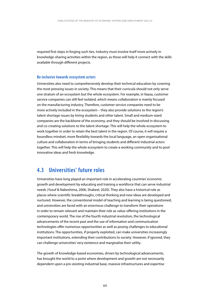required first steps in forging such ties. Industry must involve itself more actively in knowledge-sharing activities within the region, as these will help it connect with the skills available through different projects.

#### **Be inclusive towards ecosystem actors**

Universities also need to comprehensively develop their technical education by covering the most pressing issues in society. This means that their curricula should not only serve one stratum of an ecosystem but the whole ecosystem. For example, in Vaasa, customer service companies can still feel isolated, which means collaboration is mainly focused on the manufacturing industry. Therefore, customer service companies need to be more actively included in the ecosystem – they also provide solutions to the region's talent shortage issues by hiring students and other talent. Small and medium-sized companies are the backbone of the economy, and they should be involved in discussing and co-creating solutions to the talent shortage. This will help the whole ecosystem to work together in order to retain the best talent in the region. Of course, it will require a boundless mindset, more flexibility towards the local language, an open organisational culture and collaboration in terms of bringing students and different industrial actors together. This will help the whole ecosystem to create a working community and to pool innovative ideas and fresh knowledge.

### **4.3 Universities' future roles**

Universities have long played an important role in accelerating countries' economic growth and development by educating and training a workforce that can serve industrial needs (Yusuf & Nabeshima, 2006, Shakeel, 2020). They also have a historical role as places where scientific breakthroughs, critical thinking and new ideas are developed and nurtured. However, the conventional model of teaching and learning is being questioned, and universities are faced with an enormous challenge to transform their operations in order to remain relevant and maintain their role as value-offering institutions in the contemporary world. The rise of the fourth industrial revolution, the technological advancements of the recent past and the use of information and communication technologies offer numerous opportunities as well as posing challenges to educational institutions. The opportunities, if properly exploited, can make universities increasingly important institutions, extending their contributions to society. However, if ignored, they can challenge universities' very existence and marginalise their utility.

The growth of knowledge-based economies, driven by technological advancements, has brought the world to a point where development and growth are not necessarily dependent upon a pre-existing industrial base, massive infrastructures and expertise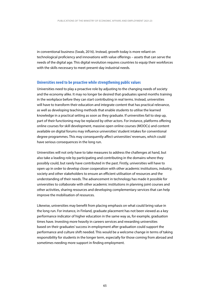in conventional business (Swab, 2016). Instead, growth today is more reliant on technological proficiency and innovations with value offerings – assets that can serve the needs of the digital age. This digital revolution requires countries to equip their workforces with the skills necessary to meet present-day industrial needs.

#### **Universities need to be proactive while strengthening public values**

Universities need to play a proactive role by adjusting to the changing needs of society and the economy alike. It may no longer be desired that graduates spend months training in the workplace before they can start contributing in real terms. Instead, universities will have to transform their education and integrate content that has practical relevance, as well as developing teaching methods that enable students to utilise the learned knowledge in a practical setting as soon as they graduate. If universities fail to step up, part of their functioning may be replaced by other actors. For instance, platforms offering online courses for skill development, massive open online courses (MOOCs) and content available on digital forums may influence universities' student intakes for conventional degree programmes. This may consequently affect universities' revenues, which could have serious consequences in the long run.

Universities will not only have to take measures to address the challenges at hand, but also take a leading role by participating and contributing in the domains where they possibly could, but rarely have contributed in the past. Firstly, universities will have to open up in order to develop closer cooperation with other academic institutions, industry, society and other stakeholders to ensure an efficient utilisation of resources and the understanding of their needs. The advancement in technology has made it possible for universities to collaborate with other academic institutions in planning joint courses and other activities, sharing resources and developing complementary services that can help improve the mobilisation of resources.

Likewise, universities may benefit from placing emphasis on what could bring value in the long run. For instance, in Finland, graduate placement has not been viewed as a key performance indicator of higher education in the same way as, for example, graduation times have. Investing more heavily in careers services and rewarding universities based on their graduates' success in employment after graduation could support the performance and culture shift needed. This would be a welcome change in terms of taking responsibility for students in the longer term, especially for those coming from abroad and sometimes needing more support in finding employment.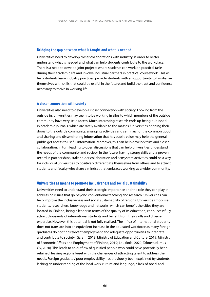#### **Bridging the gap between what is taught and what is needed**

Universities need to develop closer collaborations with industry in order to better understand what is needed and what can help students contribute to the workplace. There is a need to develop joint projects where students can work on practical tasks during their academic life and involve industrial partners in practical coursework. This will help students learn industry practices, provide students with an opportunity to familiarise themselves with skills that could be useful in the future and build the trust and confidence necessary to thrive in working life.

#### **A closer connection with society**

Universities also need to develop a closer connection with society. Looking from the outside in, universities may seem to be working in silos to which members of the outside community have very little access. Much interesting research ends up being published in academic journals, which are rarely available to the masses. Universities opening their doors to the outside community, arranging activities and seminars for the common good and sharing and disseminating information that has public value may help the general public get access to useful information. Moreover, this can help develop trust and closer collaboration, in turn leading to open discussions that can help universities understand the needs of the community and society. In the future, having strong skills and a proven record in partnerships, stakeholder collaboration and ecosystem activities could be a way for individual universities to positively differentiate themselves from others and to attract students and faculty who share a mindset that embraces working as a wider community.

#### **Universities as means to promote inclusiveness and social sustainability**

Universities need to understand their strategic importance and the role they can play in addressing issues that go beyond conventional teaching and research. Universities can help improve the inclusiveness and social sustainability of regions. Universities mobilise students, researchers, knowledge and networks, which can benefit the cities they are located in. Finland, being a leader in terms of the quality of its education, can successfully attract thousands of international students and benefit from their skills and diverse expertise. However, this potential is not fully realised. The influx of international students does not translate into an equivalent increase in the educated workforce as many foreign graduates do not find relevant employment and adequate opportunities to integrate and contribute to society (Garam, 2018; Ministry of Education and Culture, 2019; Ministry of Economic Affairs and Employment of Finland, 2019; Loukkola, 2020; Taloustutkimus Oy, 2020). This leads to an outflow of qualified people who could have potentially been retained, leaving regions beset with the challenges of attracting talent to address their needs. Foreign graduates' poor employability has previously been explained by students lacking an understanding of the local work culture and language, a lack of social and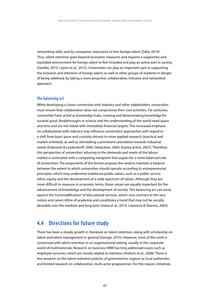networking skills, and by companies' reluctance to hire foreign talent (Zafar, 2019). Thus, talent retention goes beyond economic measures and requires a supportive and equitable environment for foreign talent to feel included and play an active part in society (Geddie, 2015; Lepori et al., 2015). Universities can play an important part in supporting the inclusion and retention of foreign talent, as well as other groups of students in danger of being sidelined, by taking a more proactive, collaborative, inclusive and networked approach.

#### **The balancing act**

While developing a closer connection with industry and other stakeholders, universities must ensure that collaboration does not compromise their core activities. For centuries, universities have acted as knowledge hubs, creating and disseminating knowledge for societal good. Breakthroughs in science and the understanding of the world need space and time and are not linked with immediate financial targets. This increased emphasis on collaboration with industry may influence universities' approaches with regard to a shift from basic (pure and curiosity-driven) to more applied research (practical and market-oriented), as well as stimulating a prominent orientation towards industrial needs (Etzkowitz & Leydesdorff, 2000; Debackere, 2000; Dooley & Kirk, 2007). Therefore, this perspective of universities' attuning to the demands and needs of the labour market is contrasted with a competing viewpoint that argues for a more balanced role of universities. The proponents of the former propose the need to maintain a balance between the extent to which universities should operate according to entrepreneurial principles, which may undermine traditional public values, such as a public service ethos, equity and the development of a wide spectrum of values. Although they are more difficult to measure in economic terms, these values are equally important for the advancement of knowledge and the development of society. This balancing act can serve against the "commodification" of educational services, which runs contrary to the very notion and raison d'être of academia and constitutes a trend that may not be socially desirable over the medium and long term (Ivana et al., 2019; Lawrence & Sharma, 2002).

### **4.4 Directions for future study**

There has been a steady growth in literature on talent retention, along with scholarship on talent and talent management in general (George, 2015). However, most of this work is concerned with talent retention in an organisational setting, usually in the corporate world of multinationals. Research on business HRM has long addressed issues such as employee turnover, which are closely related to retention (Holtom et al., 2008). There is less research on the talent retention policies of governments, regions or local authorities and limited research on collaborative, multi-actor programmes. For this reason, initiatives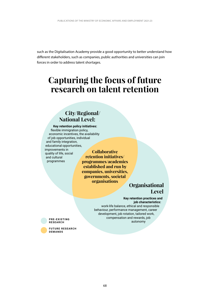such as the Digitalisation Academy provide a good opportunity to better understand how different stakeholders, such as companies, public authorities and universities can join forces in order to address talent shortages.

# **Capturing the focus of future research on talent retention**

### **City/Regional/ National Level:**

**Key retention policy initiatives:**  flexible immigration policy, economic incentives, the availability of job opportunities, individual and family integration, educational opportunities, improvements in quality of life, social and cultural

programmes

**Collaborative retention initiatives/ programmes/academies established and run by companies, universities, governments, societal organisations** 

### **Organisational Level**

#### **Key retention practices and job characteristics:**

work-life balance, ethical and responsible behaviour, performance management, career development, job rotation, tailored work, compensation and rewards, job autonomy

**PRE-EXISTING RESEARCH** 

**FUTURE RESEARCH DEMANDS**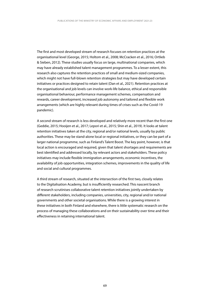The first and most developed stream of research focuses on retention practices at the organisational level (George, 2015; Holtom et al., 2008; McCracken et al., 2016; Ortlieb & Sieben, 2012). These studies usually focus on large, multinational companies, which may have already established talent management programmes. To a lesser extent, this research also captures the retention practices of small and medium-sized companies, which might not have full-blown retention strategies but may have developed certain initiatives or practices designed to retain talent (Dan et al., 2021). Retention practices at the organisational and job levels can involve work-life balance, ethical and responsible organisational behaviour, performance management schemes, compensation and rewards, career development, increased job autonomy and tailored and flexible work arrangements (which are highly relevant during times of crises such as the Covid-19 pandemic).

and social and cultural programmes. A second stream of research is less developed and relatively more recent than the first one (Geddie, 2015; Hooijen et al., 2017; Lepori et al., 2015; Shin et al., 2019). It looks at talent retention initiatives taken at the city, regional and/or national levels, usually by public authorities. These may be stand-alone local or regional initiatives, or they can be part of a larger national programme, such as Finland's Talent Boost. The key point, however, is that local action is encouraged and required, given that talent shortages and requirements are best identified and addressed locally, by relevant actors and stakeholders. These policy initiatives may include flexible immigration arrangements, economic incentives, the availability of job opportunities, integration schemes, improvements in the quality of life

A third stream of research, situated at the intersection of the first two, closely relates to the Digitalisation Academy, but is insufficiently researched. This nascent branch of research scrutinises collaborative talent retention initiatives jointly undertaken by different stakeholders, including companies, universities, city, regional and/or national governments and other societal organisations. While there is a growing interest in these initiatives in both Finland and elsewhere, there is little systematic research on the process of managing these collaborations and on their sustainability over time and their effectiveness in retaining international talent.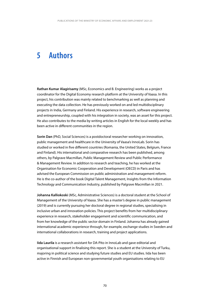#### **5 Authors**

**Rathan Kumar Alagirisamy** (MSc, Economics and B. Engineering) works as a project coordinator for the Digital Economy research platform at the University of Vaasa. In this project, his contribution was mainly related to benchmarking as well as planning and executing the data collection. He has previously worked on and led multidisciplinary projects in India, Germany and Finland. His experience in research, software engineering and entrepreneurship, coupled with his integration in society, was an asset for this project. He also contributes to the media by writing articles in English for the local weekly and has been active in different communities in the region.

**Sorin Dan** (PhD, Social Sciences) is a postdoctoral researcher working on innovation, public management and healthcare in the University of Vaasa's InnoLab. Sorin has studied or worked in five different countries (Romania, the United States, Belgium, France and Finland). His international and comparative research has been published, among others, by Palgrave Macmillan, Public Management Review and Public Performance & Management Review. In addition to research and teaching, he has worked at the Organisation for Economic Cooperation and Development (OECD) in Paris and has advised the European Commission on public administration and management reform. He is the co-author of the book Digital Talent Management, Insights from the Information Technology and Communication Industry, published by Palgrave Macmillan in 2021.

**Johanna Kalliokoski** (MSc, Administrative Sciences) is a doctoral student at the School of Management of the University of Vaasa. She has a master's degree in public management (2019) and is currently pursuing her doctoral degree in regional studies, specialising in inclusive urban and innovation policies. This project benefits from her multidisciplinary experience in research, stakeholder engagement and scientific communication, and from her knowledge of the public sector domain in Finland. Johanna has already gained international academic experience through, for example, exchange studies in Sweden and international collaborations in research, training and project applications.

**Iida Laurila** is a research assistant for DA-Pito in InnoLab and gave editorial and organisational support in finalising this report. She is a student at the University of Turku, majoring in political science and studying future studies and EU studies. Iida has been active in Finnish and European non-governmental youth organisations relating to EU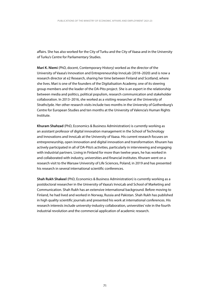affairs. She has also worked for the City of Turku and the City of Vaasa and in the University of Turku's Centre for Parliamentary Studies.

**Mari K. Niemi** (PhD, docent, Contemporary History) worked as the director of the University of Vaasa's Innovation and Entrepreneurship InnoLab (2018–2020) and is now a research director at e2 Research, sharing her time between Finland and Scotland, where she lives. Mari is one of the founders of the Digitalisation Academy, one of its steering group members and the leader of the DA-Pito project. She is an expert in the relationship between media and politics, political populism, research communication and stakeholder collaboration. In 2013–2016, she worked as a visiting researcher at the University of Strathclyde. Her other research visits include two months in the University of Gothenburg's Centre for European Studies and ten months at the University of Valencia's Human Rights Institute.

**Khuram Shahzad** (PhD, Economics & Business Administration) is currently working as an assistant professor of digital innovation management in the School of Technology and Innovations and InnoLab at the University of Vaasa. His current research focuses on entrepreneurship, open innovation and digital innovation and transformation. Khuram has actively participated in all of DA-Pito's activities, particularly in interviewing and engaging with industrial partners. Living in Finland for more than twelve years, he has worked in and collaborated with industry, universities and financial institutes. Khuram went on a research visit to the Warsaw University of Life Sciences, Poland, in 2019 and has presented his research in several international scientific conferences.

**Shah Rukh Shakeel** (PhD, Economics & Business Administration) is currently working as a postdoctoral researcher in the University of Vaasa's InnoLab and School of Marketing and Communication. Shah Rukh has an extensive international background. Before moving to Finland, he had lived and worked in Norway, Russia and Pakistan. Shah Rukh has published in high quality scientific journals and presented his work at international conferences. His research interests include university-industry collaboration, universities' role in the fourth industrial revolution and the commercial application of academic research.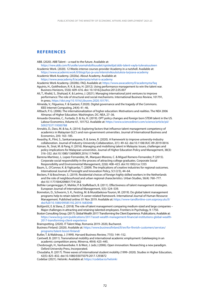#### **REFERENCES**

- ABB. (2020). ABB Talent a road to the future. Available at:
- <https://new.abb.com/fi/uralle/uramahdollisuudet/opiskelijat/abb-talent-vayla-tulevaisuuteen> Academic Work. (2020). 12 Weeks intense courses provider Academy in a nutshell. Available at:
- <https://www.academicwork.fi/blogi/tyo-ja-ura/intensiivikoulutuksia-tarjoava-academy> Academic Work Academy. (2020a). About Academy. Available at:
	- <https://www.awacademy.fi/academysta/what-is-academy>

Academic Work Academy. (2020b). FAQ. Available at: <https://www.awacademy.fi/academysta/faq>

- Aguinis, H., Gottfredson, R. K. & Joo, H. (2012). Using performance management to win the talent war. Business Horizons, 55(6): 609–616. doi: 10.1016/j.bushor.2012.05.007
- Ali, T., Khalid, S., Shahzad, K. & Larimo, J. (2021). Managing international joint ventures to improve performance: The role of structural and social mechanisms. International Business Review, 101791, In press. [https://doi.org/10.1016/j.ibusrev.2020.101791.](https://doi.org/10.1016/j.ibusrev.2020.101791)

Almeida, V., Filgueiras, F. & Gaetani, F.2020). Digital governance and the tragedy of the Commons. IEEE Internet Computing, 24(4): 41–46.

- Altbach, P. G. (2006). The internationalization of higher education: Motivations and realities. The NEA 2006 Almanac of Higher Education. Washington, DC: NEA, 27–36.
- Amuedo-Dorantes, C., Furtado, D. & Xu, H. (2019). OPT policy changes and foreign born STEM talent in the US. Labour Economics, Volume 61, 101752. Available at:<https://www.sciencedirect.com/science/article/pii>/ S0927537119300788
- Annakis, D., Dass, M. & Isa, A. (2014). Exploring factors that influence talent management competency of academics in Malaysian GLC's and non-government universities. Journal of International Business and Economics, 2(4): 163–185.
- Awasthy, R., Flint, S., Sankarnarayana, R. & Jones, R. (2020). A framework to improve university-industry collaboration. Journal of Industry-University Collaboration, 2(1): 49–62. doi:10.1108/JIUC-09-2019-0016
- Azman, N., Sirat, M. & Pang, V. (2016). Managing and mobilising talent in Malaysia: Issues, challenges and policy implications for Malaysian universities. Journal of Higher Education Policy and Management, 38(3): 316–332. doi:10.1080/1360080X.2016.1174406
- Barrena-Martinez, J., Lopez-Fernandez, M., Marquez-Moreno, C. & Miguel Romero-Fernandez, P. (2015). Corporate social responsibility in the process of attracting college graduates. Corporate Social Responsibility and Environmental Management, 22(6): 408–423. doi:10.1002/csr.1355
- Baum, S., O'Connor, K. & Yigitcanlar, T. (2009). The implications of creative industries for regional outcomes. International Journal of Foresight and Innovation Policy, 5(1/2/3), 44–64.
- Beckers, P. & Boschman, S. (2019). Residential choices of foreign highly skilled workers in the Netherlands and the role of neighbourhood and urban regional characteristics. Urban Studies, 56(4): 760–777. doi:10.1177/0042098017741262
- Bethke-Langenegger, P., Mahler, P. & Staffelbach, B. (2011). Effectiveness of talent management strategies. European Journal of International Management, 5(5): 524–539.
- Bonneton, D., Schworm, S. K., Festing, M. & Muratbekova-Touron, M. (2019). Do global talent management programs help to retain talents? A career-related framework. International Journal of Human Resource Management. Published online: 01 Nov 2019. Available at:<https://www-tandfonline-com.ezproxy.utu.fi>/ doi/full/10.1080/09585192.2019.1683048
- Boštjančič, E. & Slana, Z. (2018). The role of talent management comparing medium-sized and large companies Major challenges in attracting and retaining talented employees. Frontiers in Psychology, 9: 1750.

Boston Consulting Group. (2017). Global Wealth 2017: Transforming the Client Experience. Publications. Available at: [https://www.bcg.com/publications/2017/asset-wealth-management-financial-institutions-global-wealth-](https://www.bcg.com/publications/2017/asset-wealth-management-financial-institutions-global-wealth)2017-transforming-client-experience

Brainspotting. (2020). IT Talent Map, Romania 2019–2020, Bucharest.

Business Finland. (2020). Available at: [https://www.businessfinland.fi/en/for-finnish-customers/services/](https://www.businessfinland.fi/en/for-finnish-customers/services) programs/talent-boost-finland/

Butler, T. & Waldroop, J. (1999). Harvard Business Review, 77(5): 144–152.

Cantwell, B. (2011). Transnational mobility and international academic employment: Gatekeeping in an academic competition arena. Minerva, 49(4): 425–445.

Chesbrough, H., Vanhaverbeke. V. & West, J. (eds.) (2006). Open innovation: Researching a new paradigm. Oxford University Press, Incorporated.

Choudaha, R. (2017). Three waves of international student mobility (1999–2020). Studies in Higher Education, 42(5): 825–832. doi:10.1080/03075079.2017.1293872

Codebar (2021). Helsinki. Available at: <https://codebar.io/helsinki>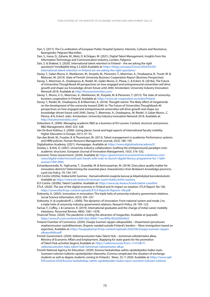- Dan, S. (2017). The Co-ordination of European Public Hospital Systems: Interests, Cultures and Resistance, Basingstoke: Palgrave Macmillan.
- Dan, S., Ivana, D., Zaharie, M., Metz, D. & Drăgan, M. (2021). Digital Talent Management, Insights from the Information Technology and Communication Industry, London, Palgrave.
- Dan, S. & Shakeel, S. (2020). International talent retention in Finland Are we asking the right questions? InnoBabble blog 3.2.2020 Available at: <https://blogs.univaasa.fi/inno/2020/02/03>/ international-talent-retention-in-finland-are-we-asking-the-right-questions/
- Davey, T., Galan-Muros, V., Markkanen, M., Korpela, M., Pienonen, T., Meerman, A., Orazbayeva, B., Troutt, M. & Melonari, M. (2019). State of Finnish University Business-Cooperation Report (Business Perspective).
- Davey, T., Meerman, A., Orazbayeva, B., Riedel, M., Galán-Muros, V., Plewa, C. & Eckert, N. (2018a). The Future of Universities Thoughtbook 40 perspectives on how engaged and entrepreneurial universities will drive growth and shape our knowledge-driven future until 2040. Amsterdam: University Industry Innovation Network 2018. Available at: [http://futureuniversities.com/](http://futureuniversities.com)
- Davey, T., Muros, V. G., Meerman, A., Markkanen, M., Korpela, M. & Pienonen, T. (2013). The state of universitybusiness cooperation in Finland. Available at:<https://www.ub-cooperation.eu/index/finland>
- Davey, T., Riedel, M., Orazbayeva, B. & Meerman, A. (2018). Thought-starter: The likely effect of megatrends on the development of the university toward 2040. In: The Future of Universities Thoughtbook 40 perspectives on how engaged and entrepreneurial universities will drive growth and shape our knowledge-driven future until 2040. Davey, T., Meerman, A., Orazbayeva., M, Riedel., V, Galan-Muros., C, Plevna. & N, Eckert. (eds). Amsterdam: University Industry Innovation Network 2018. Available at: [http://futureuniversities.com/](http://futureuniversities.com)
- Debackere, K. (2000). Managing academic R&D as a business at KU Leuven: Context, structure and process. R&D Management, 30(4): 323–328.
- Van De Bunt-Kokhus, S. (2000). Going places: Social and legal aspects of international faculty mobility. Higher Education in Europe, 25(1): 47–55.
- Van den Brink, M., Fruytier, B. & Thunnissen, M. (2013). Talent management in academia: Performance systems and HRM policies. Human Resource Management Journal, 23(2): 180–195.
- Digitalisation Academy. (2021). Homepages. Available at: <https://www.digitalisationacademy.fi>/ Dooley, L. & Kirk, D. (2007). University-industry collaboration: Grafting the entrepreneurial paradigm onto
- academic structures. European Journal of Innovation Management, 10(3): 316–332. Economic Times Government. (2020). Available at: [https://government.economictimes.indiatimes.com/](https://government.economictimes.indiatimes.com)
- news/digital-india/microsoft-join-hands-with-nsdc-to-launch-digital-literacy-programme-for-1-lakhwomen/78913845
- Esmaeilpoorarabi, N., Yigitcanlar, T., Guaralda, M. & Kamruzzaman, M. (2018). Does place quality matter for innovation districts? Determining the essential place characteristics from Brisbane's knowledge precincts. Land Use Policy, 79: 734–747.
- ELY-Centre (2020a). Kokka kohti Suomea Kansainvälisistä osaajista kasvua ja kilpailukykyä kasvukeskuksiin. Available at: <https://www.ely-keskus.fi/varsinais-suomi-kokka-kohti-suomea>
- ELY-Centre. (2020b). Talent Coastline. Available at: <https://www.ely-keskus.fi/web/talent-coastline>
- ETLA. (2020). The size of the digital economy in Finland and its impact on taxation. ETLA Report. No 106. <https://www.etla.fi/wp-content/uploads/ETLA-Raportit-Reports-106.pdf>
- Etzkowitz, H. (2003). Innovation in innovation: The triple helix of university-industry-government relations. Social Science Information, 42(3): 293–337.
- Etzkowitz, H. & Leydesdorff, L. (2000). The dynamics of innovation: From national system and mode 2 to a triple helix of university-industry-government relations. Research Policy, 29: 109–123.
- Farivar, F., Coffey, J. & Cameron, R. (2019). International graduates and the change of initial career mobility intentions. Personnel Review, 48(4): 1061–1078.
- Financial Times. (2020). The pandemic is killing the attraction of megacities. Available at (paywall): <https://www.ft.com/content/e30b16e2-9604-11ea-899a-f62a20d54625>
- Finland Chamber of Commerce. (2020). Osaajia Suomen rajojen ulkopuolelta Osaamiseen perustuvan maahanmuuton vauhdittaminen. [Experts needed outside Finland's borders – More immigration based on expertise]. Available at:<https://kauppakamari.fi/wp-content/uploads/2020/06/Osaajia-Suomen-rajojen>ulkopuolelta.pdf
- Finnish Government. (2020). Valtionavustusten haku Talent Hub toiminnan edistämiseksi alkaa. Ministry of Economic Affairs and Employment. [Applying for state grants for the promotion of Talent Hub activities begins] Available at: <https://valtioneuvosto.fi/en/-//1410877>/ valtionavustusten-haku-talent-hub-toiminnan-edistamiseksi-alkaa
- Finnish National Agency for Education. (2020). Korona hankaloittaa vaihto-opiskelijoiden lisäksi myös Suomeen tulevien tutkinto-opiskelijoiden tilannetta. [Corona complicates the situation of exchange students as well as degree students coming to Finland.]. News. 25.11.2020. Available at: [https://www.oph.](https://www.oph) fi/fi/uutiset/2020/korona-hankaloittaa-vaihto-opiskelijoiden-lisaksi-myos-suomeen-tulevien-tutkinto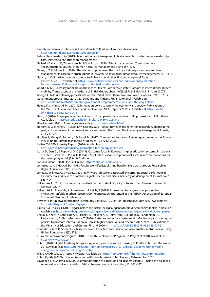Finnish Software and E-business Association. (2021). Mimmit koodaa. Available at: <https://mimmitkoodaa.ohjelmistoebusiness.fi>/

- Future Place Leadership. (2019). Talent Attraction Management. Available at: <https://futureplaceleadership>. com/services/talent-attraction-management/
- Gallardo-Gallardo, E., Thunnissen, M. & Scullion, H. (2020). Talent management: Context matters. The International Journal of Human Resource Management, 31(4): 457–473.
- Gama, L. Z. & Edoun, E. I. (2020). The relationship between the graduate trainee programme and talent management in corporate organisations in Eswatini. SA Journal of Human Resource Management, 18(1): 1–6.
- Garam, I. (2018). What brought students to Finland, how do they find studying here? Facts Express 6B/2018. Available at: [https://www.oph.fi/en/statistics-and-publications/publications/](https://www.oph.fi/en/statistics-and-publications/publications) facts-express-6b2018-what- brought-students-finland-how-do
- Geddie, K. (2015). Policy mobilities in the race for talent: Competitive state strategies in international student mobility. Transactions of the Institute of British Geographers, 40(2): 235–248. doi:10.1111/tran.12072
- George, C. (2015). Retaining professional workers: What makes them stay? Employee Relations, 37(1): 102-121. Government programme. (2019). 3.4 Dynamic and Thriving Finland. [online] Available at:
- <https://valtioneuvosto.fi/en/marin/government-programme/dynamic-and-thriving-finland> Halme, K. & Niinikoski, M-L. (2019). Innovation policy to renew the economy and society. Publications of the Ministry of Economic Affairs and Employment: MEAE reports 2019: 7. Available at: <http://urn.fi>/ URN:ISBN:978-952-327-394-8
- Havu, H. (2016). Employee retention in Finnish IT companies: Perspectives of HR professionals. Aalto thesis. Available at: <https://aaltodoc.aalto.fi/handle/123456789/24510>
- Hive Helsinki (2021). Homepages. Available at: [https://www.hive.fi/en/](https://www.hive.fi/en)
- Holtom, B. C., Mitchell, T. R., Lee, T. W. & Eberly, M. B. (2008). Turnover and retention research: A glance at the past, a closer review of the present and a venture into the future. The Academy of Management Annals, 2(1): 231–274.
- Hooijen, I., Meng, C., Reinold, J. & Siegel, M. (2017). Competition for talent: Retaining graduates in the Euregio Meuse-Rhine. European Planning Studies, 25(12): 2212–2231.
- Indian IT & BPM Industry Report. (2020). Available at:
- <https://www.ibef.org/industry/information-technology-india.aspx>

Ivana, D., Dan, S., & Popovici, O. C. (2019). Customer focus in European higher education systems. In: Văduva, S., Fotea, I., Văduva, L. P. & Wilt, R. (eds.), Applied ethics for entrepreneurial success, recommendations for the developing world. (39-49). Springer.

- Jobs in Finland. (2020). Jobs in Finland. [https://jobs.workinfinland.fi/](https://jobs.workinfinland.fi)
- Johnsrud, L. K. & Heck, R. H. (1998). Faculty worklife: Establishing benchmarks across groups. Research in Higher Education, 39(5): 539–555.
- Jones, D., Willness, C. & Madey, S. (2013). Why are job seekers attracted by corporate social performance? Experimental and field tests of three signal-based mechanisms. Academy of Management Journal. 57(2): 383–404
- Kalliomäki, H. (2014). The impact of students on the student city. City of Turku Urban Research. Research Reviews 4/2014.
- Kalliomäki, H., Ruoppila, S., Airaksinen, J. & Rekilä, J. (2018). It takes two to tango How 'productive interaction' unfolds in urban research. Conference paper presented at the AESOP (Association of European Schools of Planning) Conference.
- Khyber Pakhtunkhwa Information Technology Board. (2019). KP YEP. Published: 27 July 2017. Available at: <https://kpitb.gov.pk/projects/kp-yep>
- Kirvelä, S. & Heikkilä, T. (2017). Bigger, bolder, and faster: The digital agenda for Nordic companies. [online] Nordics-EN. Available at:<https://www.bcg.com/en-nor/bigger-bolder-and-faster-the-digital-agenda-for-nordic-companies>
- Kokko, T., Spens, K., Aholainen, R., Hakala, J., Hokkanen, J., Holmström, S., Lundin, K., Lähdeniemi, S., Paakkanen, I., & Vihma-Purovaara. T. (2020). Better together for a better world. Monitoring and honing the policies to promote internalisation in Finnish higher education and research 2017–2025. Publications of the Ministry of Education and Culture, Finland 2020:14.<http://urn.fi/URN:ISBN:978-952-263-709-3>
- Kondakci, Y. (2011). Student mobility reviewed: Attraction and satisfaction of international students in Turkey. Higher Education, 62(5): 573.
- KP Youth Employment Program (2018). KP Youth Employment Program A Project of KPITB. Available at: <https://www.kpyep.com>
- KPMG. (2020). Digital Academy brings young energy and innovative thinking to KPMG. Published December 2018. Available at: <https://home.kpmg/fi/fi/home/Pinnalla/2018/12/digital-academy-brings-young>energy-and-innovative-thinking-to-k.html
- KPMG Ov Ab. (2020a). Tietoa KPMG:stä. Available at: https://home.kpmg/fi/fi/home/tietoa-kpmgsta.html KPMG Oy Ab. (2020b). Phone discussion with Tiina Taskisalo, KPMG Finland, 26 November 2020.
- Lawrence, S. & Sharma, U. (2002). Commodification of education and academic labour Using the balanced scorecard in a university setting. Critical Perspectives on Accounting, 13: 661–677.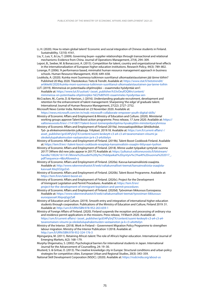- Li, H. (2020). How to retain global talent? Economic and social integration of Chinese students in Finland. Sustainability, 12(10): 4161.
- Liu, Y., Luo, Y., & Liu, T. (2009). Governing buyer–supplier relationships through transactional and relational mechanisms: Evidence from China. Journal of Operations Management, 27(4), 294–309.
- Lepori, B., Seeber, M. & Bonaccorsi, A. (2015). Competition for talent, country and organizational-level effects in the internationalization of European higher education institutions. Research Policy, 44(3): 789–802.
- Lorange, P. (2006). 'A performance based, minimalist human resource management approach in business schools. Human Resource Management, 45(4): 649–658.
- Loukkola, A. (2020). Kuinka moni Suomessa tutkinnon suorittanut ulkomaalaistaustainen jää tänne töihin? Published 20 May 2020. Tilastokeskus: Tieto & Trendit. Available at: https://www.stat.fi/tietotrendit/ artikkelit/2020/kuinka-moni-suomessa-tutkinnon-suorittanut-ulkomaalaistaustainen-jaa-tanne-toihin
- LUT. (2019). Mimmeissä on potentiaalia ohjelmoijiksi osaammeko hyödyntää sen?. Available at: https://www.lut.fi/uutiset/-/asset\_publisher/h33vOeufOQWn/content/ mimmeissa-on-potentiaalia-ohjelmoijiksi-%E2%80%93-osaammeko-hyodyntaa-sen-

McCracken, M., Currie, D. & Harrison, J. (2016). Understanding graduate recruitment, development and retention for the enhancement of talent management: Sharpening 'the edge' of graduate talent. International Journal of Human Resource Management, 27(22): 2727–2752.

Microsoft News Center India. Retrieved on 23 November 2020. Available at: https://news.microsoft.com/en-in/nsdc-microsoft-collaborate-empower-youth-digital-skills/

Ministry of Economic Affairs and Employment & Ministry of Education and Culture. (2020). Ministerial working groups approve Talent Boost action programme. Press release, 17 June 2020. Available at: https:// valtioneuvosto.fi/en/-//1410877/talent-boost-toimenpideohjelma-hyvaksyttiin-ministerityoryhmissa

Ministry of Economic Affairs and Employment of Finland (2019a). Innovaatiopolitiikan lähtökohdat. Työ- ja elinkeinoministeriön julkaisuja. Yritykset. 2019:18. Available at: https://um.fi/current-affairs/-/ asset\_publisher/gc654PySnjTX/content/suomi-keskeytt-c3-a4-c3-a4-tavanomaisen-viisumi-jaoleskelulupahakemusten-vastaanoton-ja-k-c3-a4sittelyn

Ministry of Economic Affairs and Employment of Finland. (2019b). Talent Boost Cookbook Finland. Available at: https://tem.fi/en/-/talent-boost-cookbook-resepteja-kansainvalisiin-osaajiin-liittyvaan-tyohon

- Ministry of Economic Affairs and Employment of Finland. (2018). Minne uudet työpaikat syntyivät vuonna 2017? [Where did new jobs appear in 2017?] Available at: https://julkaisut.valtioneuvosto.fi/bitstream/ [handle/10024/161141/Minne%20uudet%20ty%c3%b6paikat%20syntyiv%c3%a4t%20vuonna%202017\\_.](https://julkaisut.valtioneuvosto.fi/bitstream/handle/10024/161141/Minne%20uudet%20ty%c3%b6paikat%20syntyiv%c3%a4t%20vuonna%202017_.pdf?sequence=4&isAllowed=y)  pdf?sequence=4&isAllowed=y
- kasyua#.X6q5O2qzZaS Ministry of Economic Affairs and Employment of Finland. (2020a). Kasvua kansainvälisistä osaajista. Available at: http://www.rakennerahastot.fi/web/valtakunnalliset-teemat/kansainvalisista-osaajista-
- https://tem.fi/en/talent-boost-en Ministry of Economic Affairs and Employment of Finland. (2020b). Talent Boost Programme. Available at:
- project-for-the-development-of-immigrant-legislation-and-permit-procedures Ministry of Economic Affairs and Employment of Finland. (2020c). Project for the Development of Immigrant Legislation and Permit Procedures. Available at: https://tem.fi/en/
- Ministry of Economic Affairs and Employment of Finland. (2020d). Työvoiman liikkuvuus Euroopassa. Available at: https://www.rakennerahastot.fi/web/valtakunnalliset-teemat/tyovoiman-liikkuvuuseuroopassa#.X6qvqGgzZaR
- Ministry of Education and Culture. (2019). Smooth entry and integration of international higher education students through cooperation. Publications of the Ministry of Education and Culture, Finland 2019: 31. Available at: http://urn.fi/URN:ISBN:978-952-263-659-1
- Ministry of Foreign Affairs of Finland. (2020). Finland suspends the reception and processing of ordinary visa and residence permit applications in the missions. Press release, 19 March 2020. Available at: https://um.fi/current-affairs/-/asset\_publisher/gc654PySnjTX/content/suomi-keskeytt-c3-a4-c3-a4 tavanomaisen-viisumi-ja-oleskelulupahakemusten-vastaanoton-ja-k-c3-a4sittelyn
- Ministry of the Interior. (2018). Work in Finland Government Migration Policy Programme to strengthen labour migration. Ministry of the Interior Publication 1/2018. Available at: http://urn.fi/URN:ISBN:978-952-324-176-3
- Mpinganjira, M. (2011). Retaining Africa's talent: The role of Africa's higher education. International Journal of Emerging Markets, 6(2): 168–179.

Murphy-Shigematsu, S. (2002). Psychological barriers for international students in Japan. International Journal for the Advancement of Counselling, 24: 19–30.

- Musterd, S. & Gritsai, O. (2013). The creative knowledge city in Europe: Structural conditions and urban policy strategies for competitive cities. European Urban and Regional Studies, 20(3): 343–359.
- National Skill Development Corporation (NSDC). (2020). Available at: https://nsdcindia.org/about-us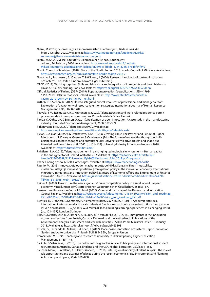Niemi, M. (2019). Suomessa jyllää suomenkielisten asiantuntijuus, Tiedekeskiviikko blog, 2 October 2020. Available at: <https://www.tiedetoimittajat.fi/tiedekeskiviikko>/ suomessa-jyllaa-suomenkielisten-asiantuntijuus

Niemi, M. (2020). Miksei koulutettu ulkomaalainen kelpaa? Kauppalehti column, 24. February 2020. Available at: [https://www.kauppalehti.fi/uutiset/](https://www.kauppalehti.fi/uutiset) miksei-koulutettu-ulkomaalainen-kelpaa/5f0d9dc1-bbeb- 47e4-a7d6-b7e4bf14fe40

Nordic Council of Ministers. (2018). State of the Nordic Region 2018. Nordic Council of Ministers. Available at: <https://www.norden.org/en/publication/state-nordic-region-2018-7>

Novotny, A., Rasmussen, E., Clausen, T. & Wiklund, J. (2020). Research handbook of start-up incubation ecosystems. The United Kindom: Edward Elgar Publishing.

OECD. (2018). Working together: Skills and labour market integration of immigrants and their children in Finland. OECD Publishing: Paris. Available at:<https://doi.org/10.1787/9789264305250-en>

Official Statistics of Finland (OSF). (2019). Population projection [e-publication]. ISSN=1798- 5153. 2019. Helsinki: Statistics Finland. Available at:<http://www.stat.fi/til/vaenn/2019>/ vaenn\_2019\_2019-09-30\_tie\_001\_en.html

Ortlieb, R. & Sieben, B. (2012). How to safeguard critical resources of professional and managerial staff: Exploration of a taxonomy of resource retention strategies. International Journal of Human Resource Management, 23(8): 1688–1704.

Paavola, J-M., Rasmussen, R. & Kinnunen, A. (2020). Talent attraction and work-related residence permit process models in comparison countries. Prime Minister's Office, Helsinki.

Parida, V., Oghazi, P., & Ericson, Å. (2014). Realization of open innovation: A case study in the manufacturing industry. Journal of Promotion Management, 20(3), 372–389.

Pirkanmaan liitto. (2020). Talent Boost (AIKO). Available at:

<https://www.pirkanmaa.fi/pirkanmaan-liitto-rahoittajana/talent-boost>/

Plewa, C., Galán-Muros, V. & Orazbayeva, B. (2018). Co-Creating Value: The Present and Future of Higher Education. In T. Davey, A Meerman, B Orazbayeva. (Ed.). The future of universities thoughtbook 40 perspectives on how engaged and entrepreneurial universities will drive growth and shape our knowledge-driven future until 2040. (p. 111–114) University-Industry Innovation Network 2018. Available at: [http://futureuniversities.com/](http://futureuniversities.com)

Pyhälammi, A. (2019). Talent management in a changing technological environment – Human capital in the energy sector of Finland. Aalto thesis. Available at:<https://aaltodoc.aalto.fi/bitstream>/ handle/123456789/41321/master\_Pyh%C3%A4lammi\_Allu\_2019.pdf?sequence=1

Raahe Coding School (2021). Homepages. Available at: <https://www.raahecodingschool.fi>/

Raunio, M. (2015). Innovaatiotalouden maahanmuuttopolitiikka. Kansainvälinen muuttoliike, maahanmuuttajat ja innovaatiopolitiikka. [Immigration policy in the innovation economy. International migration, immigrants and innovation policy.]. Ministry of Economic Affairs and Employment of Finland: Innovaatio 33/2015. Available at:<https://julkaisut.valtioneuvosto.fi/bitstream/handle/10024/74991>/ TEMjul\_33\_2015\_web\_12052015.pdf

Reiner, C. (2009). How to lure the new argonauts? Brain competition policy in a small open European economy. Mitteilungen der Österreichischen Geographischen Gesellschaft, 151: 53–87.

Research and Innovation Council Finland. (2017). Vision and road map of the Research and Innovation Council Finland. Available at: [https://valtioneuvosto.fi/documents/10184/4102579/Vision\\_and\\_roadmap\\_](https://valtioneuvosto.fi/documents/10184/4102579/Vision_and_roadmap) RIC.pdf/195ec1c2-6ff8-4027-9d16-d561dba33450/Vision\_and\_roadmap\_RIC.pdf

Rienties, B., Grohnert, T., Kommers, P., Niemantsverdriet, S. & Nijhuis, J. (2011). Academic and social integration of international and local students at five business schools, a cross-institutional comparison. In: Van den Bossche, P., Gijselaers, W. & Milter, R. (eds.) Building learning experiences in a changing world (pp. 121–137). London: Springer.

Rilla, N., Deschryvere, M., Oksanen, J., Raunio., M. & van der Have, R. (2018). Immigrants in the innovation economy – Lessons from Austria, Canada, Denmark and the Netherlands. Publications of the Government's analysis, assessment and research activities 1/2018. Prime Minister's Office, 15 January 2018. Available at: <https://tietokayttoon.fi/julkaisu?pubid=23803>

Rissola, G., Fernando H., Milena, S. & Koen, J. (2017). Place-based innovation ecosystems: Espoo Innovation Garden and Aalto University (Finland). EUR 28545 EN, European Union.

Romainville, M. (1996). Teaching and research at university: A difficult pairing. Higher Education Management, 8:135–144.

Sá, C. M. & Sabzalieva, E. (2018). The politics of the great brain race: Public policy and international student recruitment in Australia, Canada, England and the USA. Higher Education, 75(2): 231–253.

Sánchez-Moral, S., Arellano, A. & Díez-Pisonero, R. (2018). Interregional mobility of talent in Spain: The role of job opportunities and qualities of places during the recent economic crisis. Environment and Planning A: Economy and Space, 50(4): 789–808.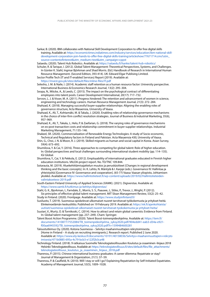Sarkar, B. (2020). IBM collaborates with National Skill Development Corporation to offer free digital skills training. Available at: https://economictimes.indiatimes.com/industry/services/education/ibm-national-skilldevelopment-corporation-join-hands-to-offer-free-digital-skills-training/articleshow/77671714.cms?utm\_ source=contentofinterest&utm\_medium=text&utm\_campaign=cppst

Sataedu. (2020). Talent Hub Robotics. Available at: https://sataedu.fi/hanke/talent-hub-robotics/

Schuler, R. & Tarique, I. (2012). Global Talent Management: Theoretical Perspectives, Systems, and Challenges. In Günter K. Stahl, Ingmar Björkman and Shad Morris. (Ed.) Handbook of Research in International Human Resource Management. (Second Edition, 393-414). UK: Edward Elgar Publising Limited.

Sector Profile Tech (IT and IT-enabled Services) Report (2019). Available at: https://invest.gov.pk/sites/default/files/inline-files/IT.pdf

Selesho, J. M. & Naile, I. (2014). Academic staff retention as a human resource factor: University perspective. International Business & Economics Research Journal, 13(2): 295–304.

- Seopa, N., Wöcke, A., & Leeds, C. (2015). The impact on the psychological contract of differentiating employees into talent pools. Career Development International, 20(17): 717–732.
- Servon, L. J. & Visser, M. A. (2011). Progress hindered: The retention and advancement of women in science, engineering and technology careers. Human Resource Management Journal, 21(3): 272–284.

Shahzad, K. (2018). Managing successful buyer-supplier relationships: Aligning the enabling roles of governance structure, Acta Wasaensia, University of Vaasa.

Shahzad, K., Ali, T., Kohtamäki, M. & Takala, J. (2020). Enabling roles of relationship governance mechanisms in the choice of inter-firm conflict resolution strategies. Journal of Business & Industrial Marketing, 35(6), 957–969.

Shahzad, K., Ali, T., Takala, J., Helo, P. & Zaefarian, G. (2018). The varying roles of governance mechanisms on ex-post transaction costs and relationship commitment in buyer-supplier relationships. Industrial Marketing Management, 71:135–146.

Shakeel, SR. (2020). Commercialization of Renewable Energy Technologies: A study of Socio-economic, Technical and Regulatory factors in Finland and Pakistan. Acta Wasaensia 430, University of Vaasa.

Shin, G., Choi, J. N. & Moon, R. J. (2019). Skilled migrants as human and social capital in Korea. Asian Survey, 59(4): 673–692.

Shumilova, Y. & Cai, Y. (2016). Three approaches to competing for global talent: Role of higher education. In: Global perspectives and local challenges surrounding international student mobility (pp. 114–135). IGI Global.

Shumilova, Y., Cai, Y. & Pekkola, E. (2012). Employability of international graduates educated in Finnish higher education institutions. VALOA-project report. No. TD/TNC 109.844.

Sotarauta, M. (2019). Aluekehittämisajattelun muutos ja peruskäsitteet [Changes in regional development thinking and the basic concepts]. In: K. Lehto, N. Mäntylä & I. Karppi (eds.). Governance IV: Hallintaa ja yhteistyötä [Governance IV: Governance and cooperation]. (65-77) Vaasa: Vaasan yliopisto, Johtamisen yksikkö. Available at: https://www.hallintotieteet.fi/wp-content/uploads/2019/02/Hallintotieteidenvalintakoeteos-2019.pdf

South-Eastern Finland University of Applied Sciences (XAMK). (2021). Digiverstas. Available at: https://www.xamk.fi/tutkimus-ja-kehitys/digiverstas/

Stahl, G. K., Bjorkman, I., Farndale, E., Morris, S. S., Paauwe, J., Stiles, P., Trevor, J., Wright, P. (2012). Six principles of effective global talent management. MIT Sloan Management Review, 53(2): 25–42.

Study in Finland. (2020). Frontpage. Available at: https://www.studyinfinland.fi/

Susiluoto, T. (2019). Suomessa opiskelevat ulkomaiset nuoret tarvitsevat työkokemusta ja yritykset heitä. Elinkeinoelämän keskusliitto. Published on 19 February 2019. Available at: https://ek.fi/ajankohtaista/ uutiset/suomessa-opiskelevat-ulkomaiset-nuoret-tarvitsevat-tyokokemusta-ja-yritykset-heita/

Suutari, V., Wurtz, O. & Tornikoski, C. (2014). How to attract and retain global careerists: Evidence from Finland. In: Global talent management (pp. 237–249). Cham: Springer.

f00aa6945592/TB\_toimenpideohjelma\_syksy2020.pdf?t=1599484600281 Talent Boost Action Programme. (2020). Talent Boost-toimenpideohjelma. Available at: https://tem.fi/ [documents/1410877/7552084/TB\\_toimenpideohjelma\\_syksy2020.pdf/904edd41-eab3-d34a-e921-](https://tem.fi/documents/1410877/7552084/TB_toimenpideohjelma_syksy2020.pdf/904edd41-eab3-d34a-e921-f00aa6945592/TB_toimenpideohjelma_syksy2020.pdf?t=1599484600281)

Taloustutkimus Oy. (2020). Kotona Suomessa – Selvitys maahanmuuttajien rekrytoimisesta. [Home in Finland – A study on recruiting immigrants.]. Research report. Published 2 June 2020. Available at: https://www.ely-keskus.fi/documents/10191/40158036/Selvitys+maahanmuuttajien+rekryto imisesta/471b0885-695a-4c79-bcb3-e122f2b3ca48

 Technology Finland. (2018). 9 ratkaisua Suomelle Teknologiateollisuuden Koulutus ja osaaminen -linjaus 2018 Helsinki: Teknologiateollisuus. Available at: https://teknologiateollisuus.fi/sites/default/files/file\_attachments/ teknologiateollisuus\_koulutus\_ja\_osaaminen\_linjaus\_2018.pdf

Tharenou, P. (2015). Chinese international business graduates: A career dilemma: Repatriate or stay? Journal of Management & Organization, 21(1): 37–59.

Tharenou, P. & Caulfield, N. (2010). Will I stay or will I go? Explaining Repatriation by Self-Initiated Expatriates. Academy of Management Journal, 53(5), 1009–1028.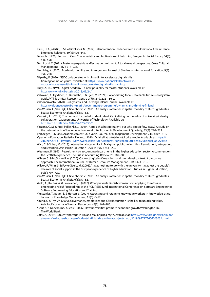- Tlaiss, H. A., Martin, P. & Hofaidhllaoui, M. (2017). Talent retention: Evidence from a multinational firm in France. Employee Relations, 39(4): 426–445.
- Toren, N. (1976). Return to Zion: Characteristics and Motivations of Returning Emigrants. Social Forces, 54(3), 546–558.
- Tornikoski, C. (2011). Fostering expatriate affective commitment: A total reward perspective. Cross Cultural Management, 18(2): 214–235.
- Tremblay, K. (2005). Academic mobility and immigration. Journal of Studies in International Education, 9(3): 196–228.
- Tripathy, P. (2020). NSDC collaborates with LinkedIn to accelerate digital skills training for Indian youth. Available at: <https://www.nationalskillsnetwork.in>/ nsdc-collaborates-with-linkedin-to-accelerate-digital-skills-training/
- Tuky (2018). KPMG Digital Academy a new possiblity for master students. Available at: [https://www.tuky.fi/etusivu/2018/09/24/](https://www.tuky.fi/etusivu/2018/09/24)
- Valkokari, K., Hyytinen, K., Kutinlahti, P. & Hjelt, M. (2021). Collaborating for a sustainable future ecosystem guide. VTT Technical Research Centre of Finland, 2021. 56 p.
- Valtioneuvosto. (2020). 3.4 Dynamic and Thriving Finland. [online] Available at: <https://valtioneuvosto.fi/en/marin/government-programme/dynamic-and-thriving-finland>
- Van Wissen, L., Van Dijk, J. & Venhorst, V. (2011). An analysis of trends in spatial mobility of Dutch graduates. Spatial Economic Analysis, 6(1): 57–82.
- Vauterin, J. J. (2012). The demand for global student talent: Capitalizing on the value of university-industry collaboration. Lappeenranta University of Technology. Available at: <http://urn.fi/URN:ISBN:978-952-265-335-2>

Vazzana, C. M. & Rudi-Polloshka, J. (2019). Appalachia has got talent, but why does it flow away? A study on the determinants of brain drain from rural USA. Economic Development Quarterly, 33(3): 220–233.

- Verhaegen, P. (2005). Academic talent: Quo vadis? Journal of Management Development, 24(9): 807–818. Vipunen – Education Statistics Finland. (2020). Opiskelijat ja tutkinnot: korkeakoulu. Available at: https:// vipunen.fi/fi-fi/\_layouts/15/xlviewer.aspx?id=/fi-fi/Raportit/Korkeakoulutuksen%20opiskelijat\_A2.xlsb
- Wan, C. & Shirat, M. (2018). International academics in Malaysian public universities: Recruitment, integration, and retention. Asia Pacific Education Review, 19(2): 241–252.
- Weetman, P. (1993). Recruitment by accounting departments in the higher education sector: A comment on the Scottish experience. The British Accounting Review, 25: 287–300.
- Wiblen, S. & McDonnell, A. (2020). Connecting 'talent' meanings and multi-level context: A discursive approach. The International Journal of Human Resource Management, 31(4): 474–510.
- Wilcox, P., Winn, S. & Fyvie-Gauld, M. (2005). 'It was nothing to do with the university, it was just the people': The role of social support in the first-year experience of higher education. Studies in Higher Education, 30(6): 707–722.
- Van Wissen, L., Van Dijk, J. & Venhorst, V. (2011). An analysis of trends in spatial mobility of Dutch graduates. Spatial Economic Analysis, 6(1): 57–82.
- Wolff, A., Knutas, A. & Savolainen, P. (2020). What prevents Finnish women from applying to software engineering roles? Proceedings of the ACM/IEEE 42nd International Conference on Software Engineering: Software Engineering Education and Training.
- Yigitcanlar, T., Baum, S. & Horton, S. (2007). Attracting and retaining knowledge workers in knowledge cities. Journal of Knowledge Management, 11(5): 6–17.
- Young, S. & Thyil, V. (2009). Governance, employees and CSR: Integration is the key to unlocking value. Asia Pacific Journal of Human Resources, 47(2): 167–185.
- Yusuf, S. & Nabeshima, K. (eds.) (2006). How universities promote economic growth Washington DC: The World Bank.
- Zafar, A. (2019). Is talent shortage in Finland real or just a myth. Available at: <https://www.foreigner.fi/opinion>/ afnan-zafar/is-the-shortage-of-talent-in-finland-real-threat-or-just-myth/20190927172606003034.html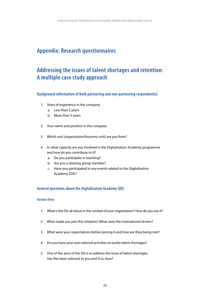# **Appendix: Research questionnaires**

# **Addressing the issues of talent shortages and retention: A multiple case study approach**

## **Background information of both partnering and non-partnering respondent(s)**

- 1. Years of experience in the company
	- a. Less than 5 years
	- b. More than 5 years
- 2. Your name and position in the company
- 3. Which unit (organisation/business unit) are you from?
- 4. In what capacity are you involved in the Digitalisation Academy programme and how do you contribute to it?
	- a. Do you participate in teaching?
	- b. Are you a steering group member?
	- c. Have you participated in any events related to the Digitalisation Academy (DA)?

## **General questions about the Digitalisation Academy (DA)**

# *Partner firms*

- 1. What is the DA all about in the context of your organisation? How do you see it?
- 2. What made you join this initiative? What were the motivational drivers?
- 3. What were your expectations before joining it and how are they being met?
- 4. Do you have your own tailored activities to tackle talent shortages?
- 5. One of the aims of the DA is to address the issue of talent shortages. Has this been relevant to you and if so, how?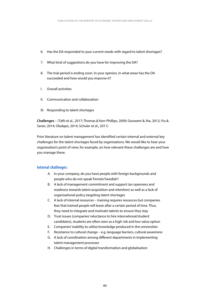- 6. Has the DA responded to your current needs with regard to talent shortages?
- 7. What kind of suggestions do you have for improving the DA?
- 8. The trial period is ending soon. In your opinion, in what areas has the DA succeeded and how would you improve it?
- I. Overall activities
- II. Communication and collaboration
- III. Responding to talent shortages

**Challenges** – (Tafti et al., 2017; Thomas & Kerr-Phillips, 2009; Goswami & Jha, 2012; Yiu & Saner, 2014; Oladapo, 2014; Schuler et al., 2011)

Prior literature on talent management has identified certain internal and external key challenges for the talent shortages faced by organisations. We would like to hear your organisation's point of view, for example, on how relevant these challenges are and how you manage these.

### **Internal challenges:**

- A. In your company, do you have people with foreign backgrounds and people who do not speak Finnish/Swedish?
- B. A lack of management commitment and support (an openness and readiness towards talent acquisition and retention) as well as a lack of organisational policy targeting talent shortages
- C. A lack of internal resources training requires resources but companies fear that trained people will leave after a certain period of time. Thus, they need to integrate and motivate talents to ensure they stay
- D. Trust issues (companies' reluctance to hire international/student candidates), students are often seen as a high risk and low value option
- E. Companies' inability to utilise knowledge produced in the universities
- F. Resistance to cultural change e.g. language barriers, cultural awareness
- G. A lack of coordination among diferent departments in implementing talent management processes
- H. Challenges in terms of digital transformation and globalisation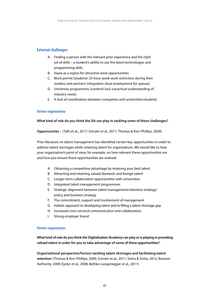# **External challenges:**

- A. Finding a person with the relevant prior experience and the right set of skills – a student's ability to use the latest technologies and programming skills
- B. Vaasa as a region for attractive work opportunities
- C. Work permit (students' 25-hour-week work restriction during their studies) and partners' integration (dual employment for spouse)
- D. University programmes (content) lack a practical understanding of industry needs
- E. A lack of coordination between companies and universities/students

#### *Partner organisations*

#### **What kind of role do you think the DA can play in tackling some of these challenges?**

**Opportunities** – (Tafti et al., 2017; Schuler et al., 2011; Thomas & Kerr-Phillips, 2009)

Prior literature on talent management has identified certain key opportunities in order to address talent shortages while retaining talent for organisations. We would like to hear your organisation's point of view, for example, on how relevant these opportunities are and how you ensure these opportunities are realised.

- A. Obtaining a competitive advantage by retaining your best talent
- B. Attracting and retaining valued domestic and foreign talent
- C. Longer-term collaboration opportunities with universities
- D. Integrated talent management programmes
- E. Strategic alignment between talent management/retention strategy/ policy and business strategy
- F. The commitment, support and involvement of management
- G. Holistic approach to developing talent and to flling a talent shortage gap
- H. Increased cross-sectoral communication and collaboration
- I. Strong employer brand

#### *Partner organisations*

**What kind of role do you think the Digitalisation Academy can play or is playing in providing valued talent in order for you to take advantage of some of these opportunities?** 

**Organisational perspective/Factors tackling talent shortages and facilitating talent retention** (Thomas & Kerr-Phillips, 2009; Schuler et al., 2011; Sinha & Sinha, 2012; Boomer Authority, 2009; Eyster et al., 2008; Bethke-Langenegger et al., 2011)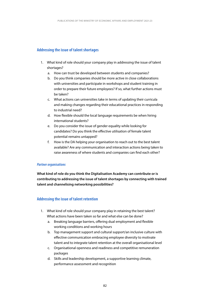# **Addressing the issue of talent shortages**

- 1. What kind of role should your company play in addressing the issue of talent shortages?
	- a. How can trust be developed between students and companies?
	- b. Do you think companies should be more active in close collaborations with universities and participate in workshops and student training in order to prepare their future employees? If so, what further actions must be taken?
	- c. What actions can universities take in terms of updating their curricula and making changes regarding their educational practices in responding to industrial need?
	- d. How fexible should the local language requirements be when hiring international students?
	- e. Do you consider the issue of gender equality while looking for candidates? Do you think the efective utilisation of female talent potential remains untapped?
	- f. How is the DA helping your organisation to reach out to the best talent available? Are any communication and interaction actions being taken to raise awareness of where students and companies can fnd each other?

#### *Partner organisations*

**What kind of role do you think the Digitalisation Academy can contribute or is contributing to addressing the issue of talent shortages by connecting with trained talent and channelising networking possibilities?** 

## **Addressing the issue of talent retention**

- 1. What kind of role should your company play in retaining the best talent? What actions have been taken so far and what else can be done?
	- a. Breaking language barriers, offering dual employment and flexible working conditions and working hours
	- b. Top management support and cultural support/an inclusive culture with efective communication embracing employee diversity to motivate talent and to integrate talent retention at the overall organisational level
	- c. Organisational openness and readiness and competitive remuneration packages
	- d. Skills and leadership development, a supportive learning climate, performance assessment and recognition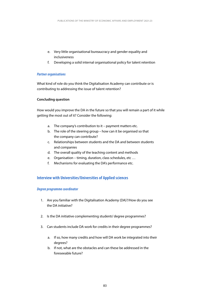- e. Very little organisational bureaucracy and gender equality and inclusiveness
- f. Developing a solid internal organisational policy for talent retention

#### *Partner organisations*

What kind of role do you think the Digitalisation Academy can contribute or is contributing to addressing the issue of talent retention?

#### **Concluding question**

How would you improve the DA in the future so that you will remain a part of it while getting the most out of it? Consider the following:

- a. The company's contribution to it payment matters etc.
- b. The role of the steering group how can it be organised so that the company can contribute?
- c. Relationships between students and the DA and between students and companies
- d. The overall quality of the teaching content and methods
- e. Organisation timing, duration, class schedules, etc …
- f. Mechanisms for evaluating the DA's performance etc.

## **Interview with Universities/Universities of Applied sciences**

#### *Degree programme coordinator*

- 1. Are you familiar with the Digitalisation Academy (DA)?/How do you see the DA initiative?
- 2. Is the DA initiative complementing students' degree programmes?
- 3. Can students include DA work for credits in their degree programmes?
	- a. If so, how many credits and how will DA work be integrated into their degrees?
	- b. If not, what are the obstacles and can these be addressed in the foreseeable future?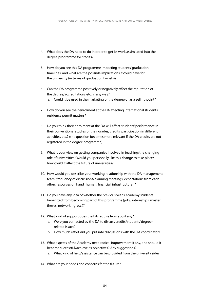- 4. What does the DA need to do in order to get its work assimilated into the degree programme for credits?
- 5. How do you see this DA programme impacting students' graduation timelines, and what are the possible implications it could have for the university (in terms of graduation targets)?
- 6. Can the DA programme positively or negatively afect the reputation of the degree/accreditations etc. in any way?
	- a. Could it be used in the marketing of the degree or as a selling point?
- 7. How do you see their enrolment at the DA affecting international students' residence permit matters?
- 8. Do you think their enrolment at the DA will afect students' performance in their conventional studies or their grades, credits, participation in diferent activities, etc.? (the question becomes more relevant if the DA credits are not registered in the degree programme)
- 9. What is your view on getting companies involved in teaching/the changing role of universities? Would you personally like this change to take place/ how could it afect the future of universities?
- 10. How would you describe your working relationship with the DA management team (frequency of discussions/planning meetings, expectations from each other, resources on hand [human, fnancial, infrastructure])?
- 11. Do you have any idea of whether the previous year's Academy students beneftted from becoming part of this programme (jobs, internships, master theses, networking, etc.)?
- 12. What kind of support does the DA require from you if any?
	- a. Were you contacted by the DA to discuss credits/students' degreerelated issues?
	- b. How much effort did you put into discussions with the DA coordinator?
- 13. What aspects of the Academy need radical improvement if any, and should it become successful/achieve its objectives? Any suggestions?
	- a. What kind of help/assistance can be provided from the university side?
- 14. What are your hopes and concerns for the future?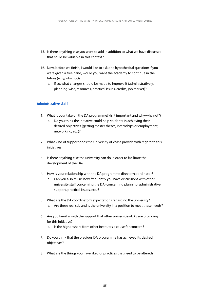- 15. Is there anything else you want to add in addition to what we have discussed that could be valuable in this context?
- 16. Now, before we finish, I would like to ask one hypothetical question: If you were given a free hand, would you want the academy to continue in the future (why/why not)?
	- a. If so, what changes should be made to improve it (administratively, planning-wise, resources, practical issues, credits, job market)?

## **Administrative staff**

- 1. What is your take on the DA programme? (Is it important and why/why not?)
	- a. Do you think the initiative could help students in achieving their desired objectives (getting master theses, internships or employment, networking, etc.)?
- 2. What kind of support does the University of Vaasa provide with regard to this initiative?
- 3. Is there anything else the university can do in order to facilitate the development of the DA?
- 4. How is your relationship with the DA programme director/coordinator?
	- a. Can you also tell us how frequently you have discussions with other university staff concerning the DA (concerning planning, administrative support, practical issues, etc.)?
- 5. What are the DA coordinator's expectations regarding the university? a. Are these realistic and is the university in a position to meet these needs?
- 6. Are you familiar with the support that other universities/UAS are providing for this initiative?
	- a. Is the higher share from other institutes a cause for concern?
- 7. Do you think that the previous DA programme has achieved its desired objectives?
- 8. What are the things you have liked or practices that need to be altered?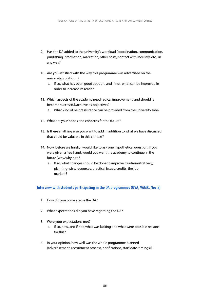- 9. Has the DA added to the university's workload (coordination, communication, publishing information, marketing, other costs, contact with industry, etc.) in any way?
- 10. Are you satisfied with the way this programme was advertised on the university's platform?
	- a. If so, what has been good about it, and if not, what can be improved in order to increase its reach?
- 11. Which aspects of the academy need radical improvement, and should it become successful/achieve its objectives?
	- a. What kind of help/assistance can be provided from the university side?
- 12. What are your hopes and concerns for the future?
- 13. Is there anything else you want to add in addition to what we have discussed that could be valuable in this context?
- 14. Now, before we fnish, I would like to ask one hypothetical question: If you were given a free hand, would you want the academy to continue in the future (why/why not)?
	- a. If so, what changes should be done to improve it (administratively, planning-wise, resources, practical issues, credits, the job market)?

### **Interview with students participating in the DA programmes (UVA, VAMK, Novia)**

- 1. How did you come across the DA?
- 2. What expectations did you have regarding the DA?
- 3. Were your expectations met?
	- a. If so, how, and if not, what was lacking and what were possible reasons for this?
- 4. In your opinion, how well was the whole programme planned (advertisement, recruitment process, notifcations, start date, timings)?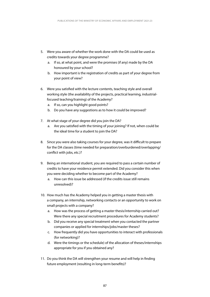- 5. Were you aware of whether the work done with the DA could be used as credits towards your degree programme?
	- a. If so, at what point, and were the promises (if any) made by the DA honoured by your school?
	- b. How important is the registration of credits as part of your degree from your point of view?
- 6. Were you satisfed with the lecture contents, teaching style and overall working style (the availability of the projects, practical learning, industrialfocused teaching/training) of the Academy?
	- a. If so, can you highlight good points?
	- b. Do you have any suggestions as to how it could be improved?
- 7. At what stage of your degree did you join the DA?
	- a. Are you satisfed with the timing of your joining? If not, when could be the ideal time for a student to join the DA?
- 8. Since you were also taking courses for your degree, was it difficult to prepare for the DA classes (time needed for preparation/overburdened/overlapping/ confict with jobs, etc.)?
- 9. Being an international student, you are required to pass a certain number of credits to have your residence permit extended. Did you consider this when you were deciding whether to become part of the Academy?
	- a. How can this issue be addressed (if the credits issue still remains unresolved)?
- 10. How much has the Academy helped you in getting a master thesis with a company, an internship, networking contacts or an opportunity to work on small projects with a company?
	- a. How was the process of getting a master thesis/internship carried out? Were there any special recruitment procedures for Academy students?
	- b. Did you receive any special treatment when you contacted the partner companies or applied for internships/jobs/master theses?
	- c. How frequently did you have opportunities to interact with professionals (for networking)?
	- d. Were the timings or the schedule) of the allocation of theses/internships appropriate for you if you obtained any?
- 11. Do you think the DA will strengthen your resume and will help in fnding future employment (resulting in long-term benefts)?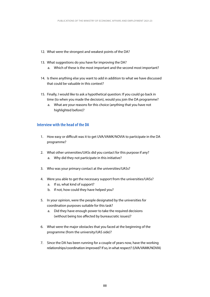- 12. What were the strongest and weakest points of the DA?
- 13. What suggestions do you have for improving the DA? a. Which of these is the most important and the second most important?
- 14. Is there anything else you want to add in addition to what we have discussed that could be valuable in this context?
- 15. Finally, I would like to ask a hypothetical question: If you could go back in time (to when you made the decision), would you join the DA programme?
	- a. What are your reasons for this choice (anything that you have not highlighted before)?

## **Interview with the head of the DA**

- 1. How easy or difficult was it to get UVA/VAMK/NOVIA to participate in the DA programme?
- 2. What other universities/UASs did you contact for this purpose if any? a. Why did they not participate in this initiative?
- 3. Who was your primary contact at the universities/UASs?
- 4. Were you able to get the necessary support from the universities/UASs?
	- a. If so, what kind of support?
	- b. If not, how could they have helped you?
- 5. In your opinion, were the people designated by the universities for coordination purposes suitable for this task?
	- a. Did they have enough power to take the required decisions (without being too afected by bureaucratic issues)?
- 6. What were the major obstacles that you faced at the beginning of the programme (from the university/UAS side)?
- 7. Since the DA has been running for a couple of years now, have the working relationships/coordination improved? If so, in what respect? (UVA/VAMK/NOVIA)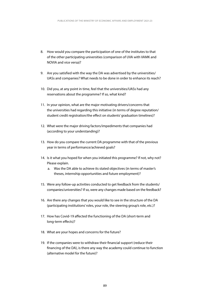- 8. How would you compare the participation of one of the institutes to that of the other participating universities (comparison of UVA with VAMK and NOVIA and vice versa)?
- 9. Are you satisfied with the way the DA was advertised by the universities/ UASs and companies? What needs to be done in order to enhance its reach?
- 10. Did you, at any point in time, feel that the universities/UASs had any reservations about the programme? If so, what kind?
- 11. In your opinion, what are the major motivating drivers/concerns that the universities had regarding this initiative (in terms of degree reputation/ student credit registration/the efect on students' graduation timelines)?
- 12. What were the major driving factors/impediments that companies had (according to your understanding)?
- 13. How do you compare the current DA programme with that of the previous year in terms of performance/achieved goals?
- 14. Is it what you hoped for when you initiated this programme? If not, why not? Please explain.
	- a. Was the DA able to achieve its stated objectives (in terms of master's theses, internship opportunities and future employment)?
- 15. Were any follow-up activities conducted to get feedback from the students/ companies/universities? If so, were any changes made based on the feedback?
- 16. Are there any changes that you would like to see in the structure of the DA (participating institutions' roles, your role, the steering group's role, etc.)?
- 17. How has Covid-19 affected the functioning of the DA (short-term and long-term effects)?
- 18. What are your hopes and concerns for the future?
- 19. If the companies were to withdraw their fnancial support (reduce their fnancing of the DA), is there any way the academy could continue to function (alternative model for the future)?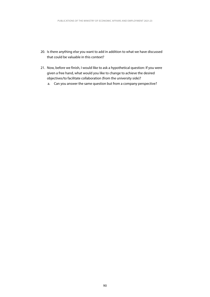- 20. Is there anything else you want to add in addition to what we have discussed that could be valuable in this context?
- 21. Now, before we finish, I would like to ask a hypothetical question: If you were given a free hand, what would you like to change to achieve the desired objectives/to facilitate collaboration (from the university side)?
	- a. Can you answer the same question but from a company perspective?